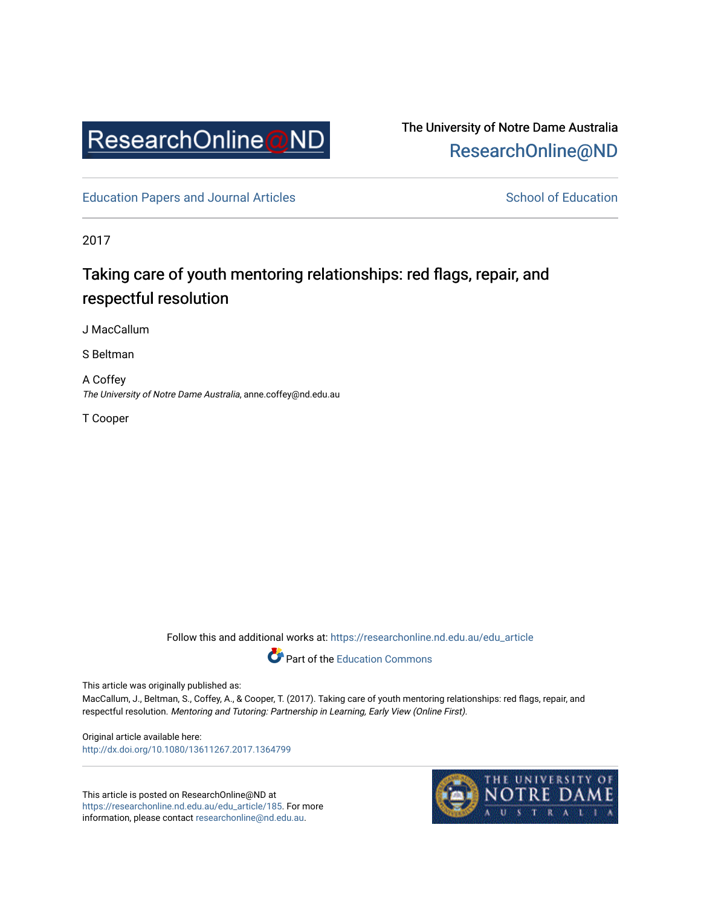

The University of Notre Dame Australia [ResearchOnline@ND](https://researchonline.nd.edu.au/) 

[Education Papers and Journal Articles](https://researchonline.nd.edu.au/edu_article) [School of Education](https://researchonline.nd.edu.au/edu) School of Education

2017

# Taking care of youth mentoring relationships: red flags, repair, and respectful resolution

J MacCallum

S Beltman

A Coffey The University of Notre Dame Australia, anne.coffey@nd.edu.au

T Cooper

Follow this and additional works at: [https://researchonline.nd.edu.au/edu\\_article](https://researchonline.nd.edu.au/edu_article?utm_source=researchonline.nd.edu.au%2Fedu_article%2F185&utm_medium=PDF&utm_campaign=PDFCoverPages)



This article was originally published as:

MacCallum, J., Beltman, S., Coffey, A., & Cooper, T. (2017). Taking care of youth mentoring relationships: red flags, repair, and respectful resolution. Mentoring and Tutoring: Partnership in Learning, Early View (Online First).

Original article available here: <http://dx.doi.org/10.1080/13611267.2017.1364799>

This article is posted on ResearchOnline@ND at [https://researchonline.nd.edu.au/edu\\_article/185](https://researchonline.nd.edu.au/edu_article/185). For more information, please contact [researchonline@nd.edu.au.](mailto:researchonline@nd.edu.au)

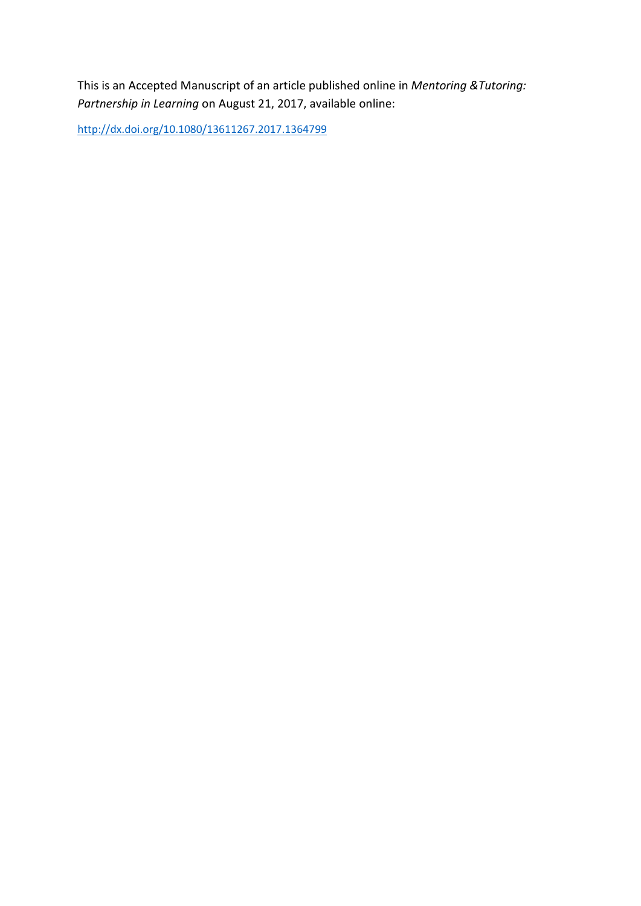This is an Accepted Manuscript of an article published online in *Mentoring &Tutoring: Partnership in Learning* on August 21, 2017, available online:

<http://dx.doi.org/10.1080/13611267.2017.1364799>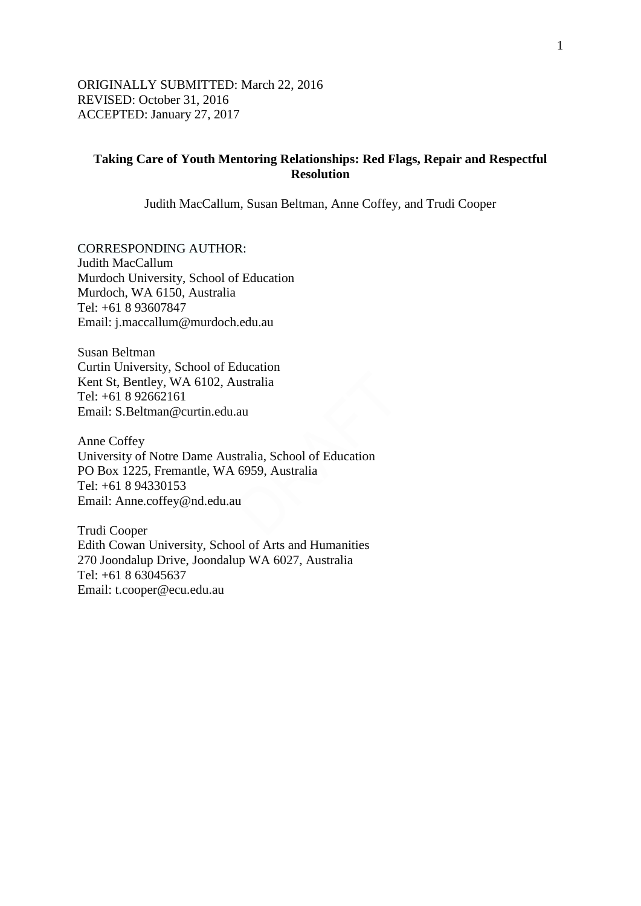ORIGINALLY SUBMITTED: March 22, 2016 REVISED: October 31, 2016 ACCEPTED: January 27, 2017

# **Taking Care of Youth Mentoring Relationships: Red Flags, Repair and Respectful Resolution**

Judith MacCallum, Susan Beltman, Anne Coffey, and Trudi Cooper

CORRESPONDING AUTHOR: Judith MacCallum Murdoch University, School of Education Murdoch, WA 6150, Australia Tel: +61 8 93607847 Email: [j.maccallum@murdoch.edu.au](mailto:j.maccallum@murdoch.edu.au)

Susan Beltman Curtin University, School of Education Kent St, Bentley, WA 6102, Australia Tel: +61 8 92662161 Email: [S.Beltman@curtin.edu.au](mailto:S.Beltman@curtin.edu.au)

Anne Coffey University of Notre Dame Australia, School of Education PO Box 1225, Fremantle, WA 6959, Australia Tel: +61 8 94330153 Email: [Anne.coffey@nd.edu.au](mailto:Anne.coffey@nd.edu.au)

Trudi Cooper Edith Cowan University, School of Arts and Humanities 270 Joondalup Drive, Joondalup WA 6027, Australia Tel: +61 8 63045637 Email: [t.cooper@ecu.edu.au](mailto:t.cooper@ecu.edu.au)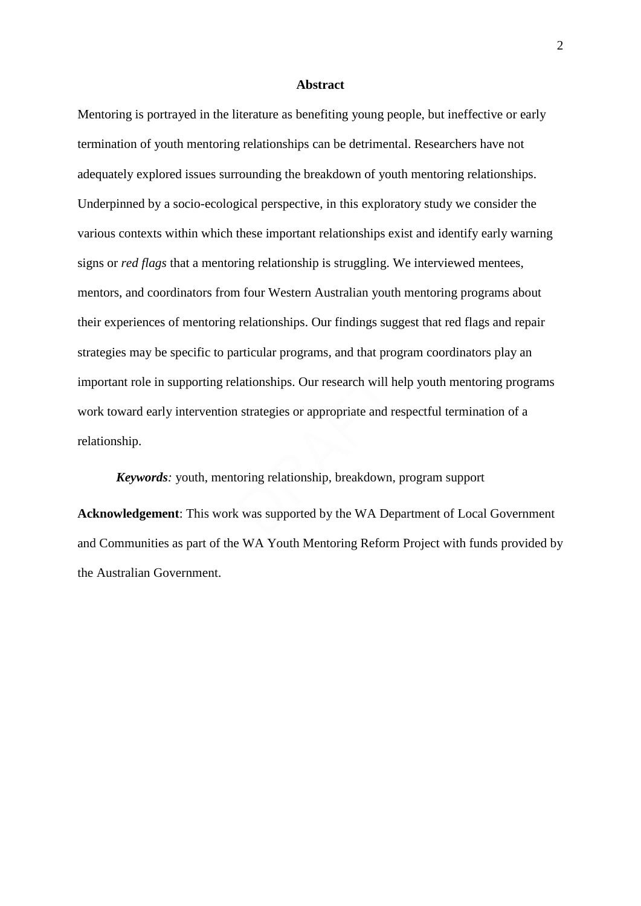#### **Abstract**

Mentoring is portrayed in the literature as benefiting young people, but ineffective or early termination of youth mentoring relationships can be detrimental. Researchers have not adequately explored issues surrounding the breakdown of youth mentoring relationships. Underpinned by a socio-ecological perspective, in this exploratory study we consider the various contexts within which these important relationships exist and identify early warning signs or *red flags* that a mentoring relationship is struggling. We interviewed mentees, mentors, and coordinators from four Western Australian youth mentoring programs about their experiences of mentoring relationships. Our findings suggest that red flags and repair strategies may be specific to particular programs, and that program coordinators play an important role in supporting relationships. Our research will help youth mentoring programs work toward early intervention strategies or appropriate and respectful termination of a relationship.

*Keywords:* youth, mentoring relationship, breakdown, program support

**Acknowledgement**: This work was supported by the WA Department of Local Government and Communities as part of the WA Youth Mentoring Reform Project with funds provided by the Australian Government.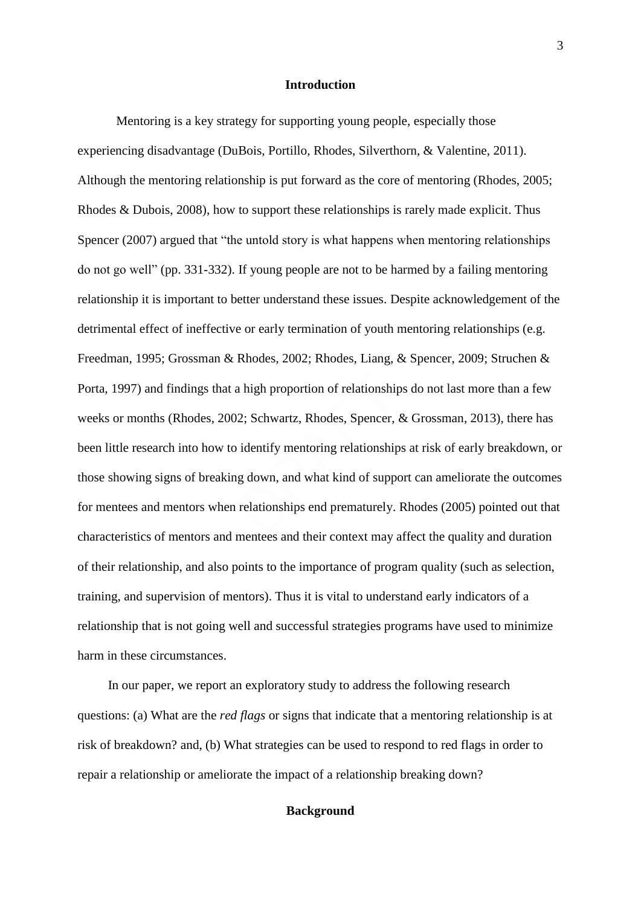#### **Introduction**

Mentoring is a key strategy for supporting young people, especially those experiencing disadvantage (DuBois, Portillo, Rhodes, Silverthorn, & Valentine, 2011). Although the mentoring relationship is put forward as the core of mentoring (Rhodes, 2005; Rhodes & Dubois, 2008), how to support these relationships is rarely made explicit. Thus Spencer (2007) argued that "the untold story is what happens when mentoring relationships do not go well" (pp. 331-332). If young people are not to be harmed by a failing mentoring relationship it is important to better understand these issues. Despite acknowledgement of the detrimental effect of ineffective or early termination of youth mentoring relationships (e.g. Freedman, 1995; Grossman & Rhodes, 2002; Rhodes, Liang, & Spencer, 2009; Struchen & Porta, 1997) and findings that a high proportion of relationships do not last more than a few weeks or months (Rhodes, 2002; Schwartz, Rhodes, Spencer, & Grossman, 2013), there has been little research into how to identify mentoring relationships at risk of early breakdown, or those showing signs of breaking down, and what kind of support can ameliorate the outcomes for mentees and mentors when relationships end prematurely. Rhodes (2005) pointed out that characteristics of mentors and mentees and their context may affect the quality and duration of their relationship, and also points to the importance of program quality (such as selection, training, and supervision of mentors). Thus it is vital to understand early indicators of a relationship that is not going well and successful strategies programs have used to minimize harm in these circumstances.

In our paper, we report an exploratory study to address the following research questions: (a) What are the *red flags* or signs that indicate that a mentoring relationship is at risk of breakdown? and, (b) What strategies can be used to respond to red flags in order to repair a relationship or ameliorate the impact of a relationship breaking down?

# **Background**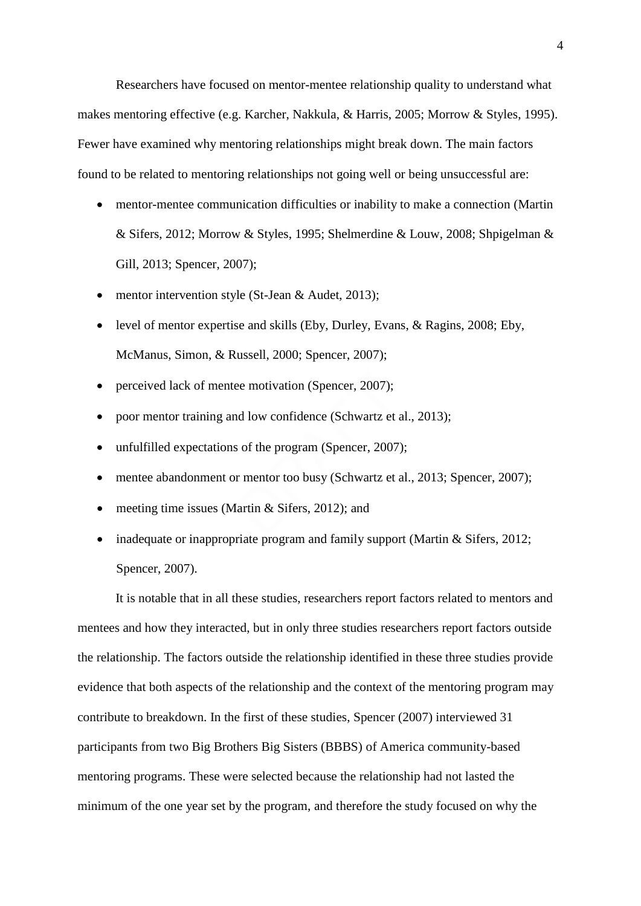Researchers have focused on mentor-mentee relationship quality to understand what makes mentoring effective (e.g. Karcher, Nakkula, & Harris, 2005; Morrow & Styles, 1995). Fewer have examined why mentoring relationships might break down. The main factors found to be related to mentoring relationships not going well or being unsuccessful are:

- mentor-mentee communication difficulties or inability to make a connection (Martin & Sifers, 2012; Morrow & Styles, 1995; Shelmerdine & Louw, 2008; Shpigelman & Gill, 2013; Spencer, 2007);
- mentor intervention style (St-Jean & Audet, 2013);
- level of mentor expertise and skills (Eby, Durley, Evans, & Ragins, 2008; Eby, McManus, Simon, & Russell, 2000; Spencer, 2007);
- perceived lack of mentee motivation (Spencer, 2007);
- poor mentor training and low confidence (Schwartz et al., 2013);
- unfulfilled expectations of the program (Spencer, 2007);
- mentee abandonment or mentor too busy (Schwartz et al., 2013; Spencer, 2007);
- meeting time issues (Martin & Sifers, 2012); and
- inadequate or inappropriate program and family support (Martin & Sifers, 2012; Spencer, 2007).

It is notable that in all these studies, researchers report factors related to mentors and mentees and how they interacted, but in only three studies researchers report factors outside the relationship. The factors outside the relationship identified in these three studies provide evidence that both aspects of the relationship and the context of the mentoring program may contribute to breakdown. In the first of these studies, Spencer (2007) interviewed 31 participants from two Big Brothers Big Sisters (BBBS) of America community-based mentoring programs. These were selected because the relationship had not lasted the minimum of the one year set by the program, and therefore the study focused on why the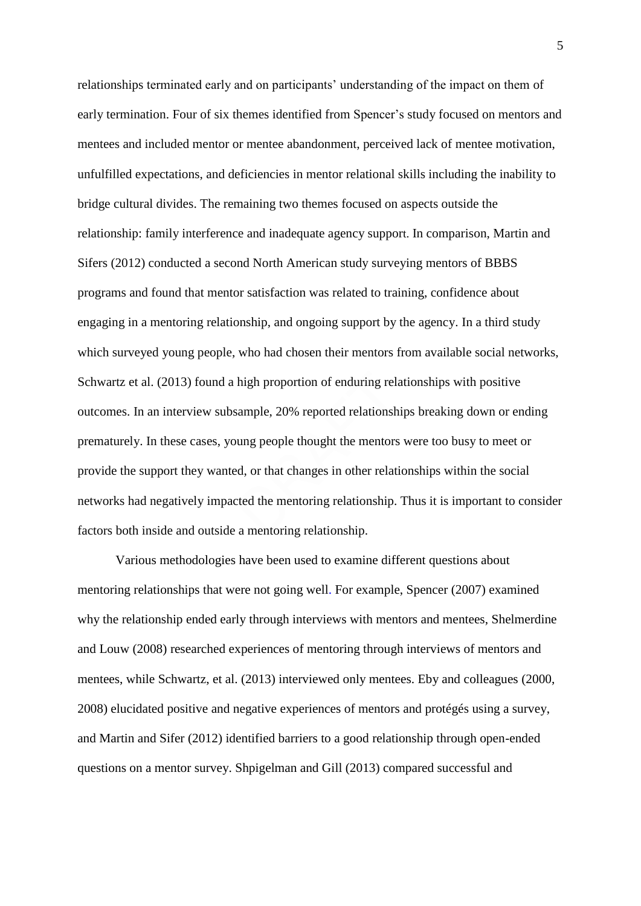relationships terminated early and on participants' understanding of the impact on them of early termination. Four of six themes identified from Spencer's study focused on mentors and mentees and included mentor or mentee abandonment, perceived lack of mentee motivation, unfulfilled expectations, and deficiencies in mentor relational skills including the inability to bridge cultural divides. The remaining two themes focused on aspects outside the relationship: family interference and inadequate agency support. In comparison, Martin and Sifers (2012) conducted a second North American study surveying mentors of BBBS programs and found that mentor satisfaction was related to training, confidence about engaging in a mentoring relationship, and ongoing support by the agency. In a third study which surveyed young people, who had chosen their mentors from available social networks, Schwartz et al. (2013) found a high proportion of enduring relationships with positive outcomes. In an interview subsample, 20% reported relationships breaking down or ending prematurely. In these cases, young people thought the mentors were too busy to meet or provide the support they wanted, or that changes in other relationships within the social networks had negatively impacted the mentoring relationship. Thus it is important to consider factors both inside and outside a mentoring relationship.

Various methodologies have been used to examine different questions about mentoring relationships that were not going well. For example, Spencer (2007) examined why the relationship ended early through interviews with mentors and mentees, Shelmerdine and Louw (2008) researched experiences of mentoring through interviews of mentors and mentees, while Schwartz, et al. (2013) interviewed only mentees. Eby and colleagues (2000, 2008) elucidated positive and negative experiences of mentors and protégés using a survey, and Martin and Sifer (2012) identified barriers to a good relationship through open-ended questions on a mentor survey. Shpigelman and Gill (2013) compared successful and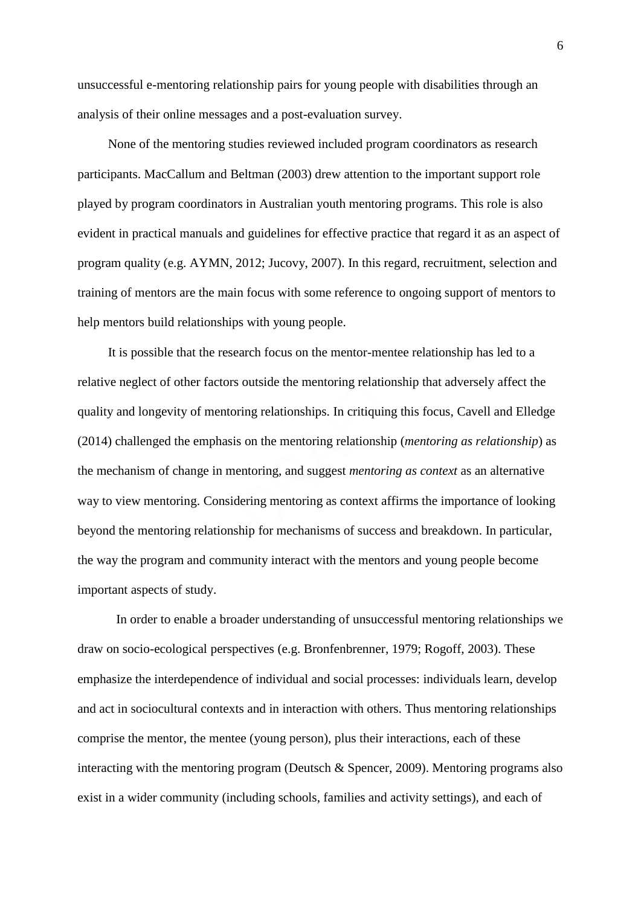unsuccessful e-mentoring relationship pairs for young people with disabilities through an analysis of their online messages and a post-evaluation survey.

None of the mentoring studies reviewed included program coordinators as research participants. MacCallum and Beltman (2003) drew attention to the important support role played by program coordinators in Australian youth mentoring programs. This role is also evident in practical manuals and guidelines for effective practice that regard it as an aspect of program quality (e.g. AYMN, 2012; Jucovy, 2007). In this regard, recruitment, selection and training of mentors are the main focus with some reference to ongoing support of mentors to help mentors build relationships with young people.

It is possible that the research focus on the mentor-mentee relationship has led to a relative neglect of other factors outside the mentoring relationship that adversely affect the quality and longevity of mentoring relationships. In critiquing this focus, Cavell and Elledge (2014) challenged the emphasis on the mentoring relationship (*mentoring as relationship*) as the mechanism of change in mentoring, and suggest *mentoring as context* as an alternative way to view mentoring. Considering mentoring as context affirms the importance of looking beyond the mentoring relationship for mechanisms of success and breakdown. In particular, the way the program and community interact with the mentors and young people become important aspects of study.

In order to enable a broader understanding of unsuccessful mentoring relationships we draw on socio-ecological perspectives (e.g. Bronfenbrenner, 1979; Rogoff, 2003). These emphasize the interdependence of individual and social processes: individuals learn, develop and act in sociocultural contexts and in interaction with others. Thus mentoring relationships comprise the mentor, the mentee (young person), plus their interactions, each of these interacting with the mentoring program (Deutsch & Spencer, 2009). Mentoring programs also exist in a wider community (including schools, families and activity settings), and each of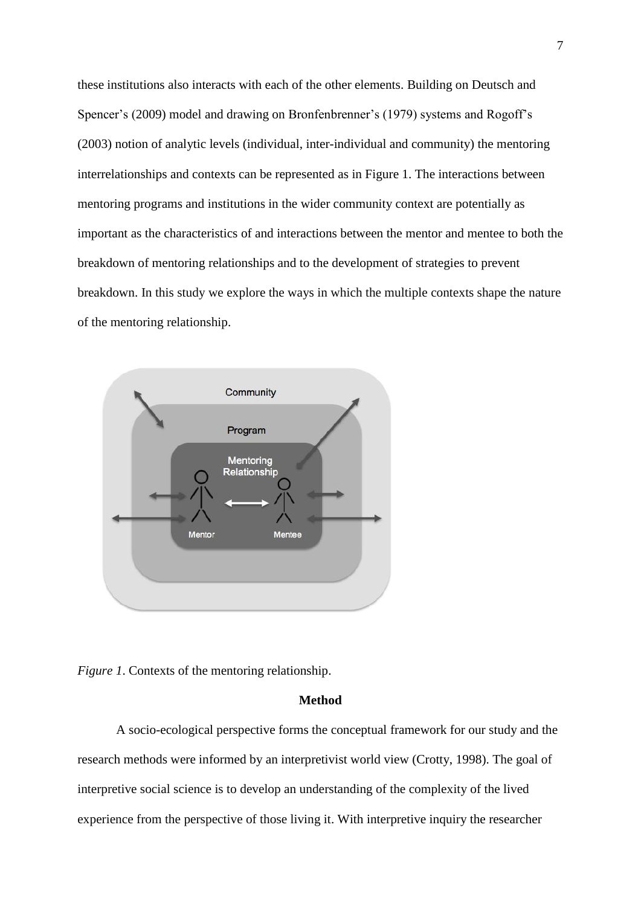these institutions also interacts with each of the other elements. Building on Deutsch and Spencer's (2009) model and drawing on Bronfenbrenner's (1979) systems and Rogoff's (2003) notion of analytic levels (individual, inter-individual and community) the mentoring interrelationships and contexts can be represented as in Figure 1. The interactions between mentoring programs and institutions in the wider community context are potentially as important as the characteristics of and interactions between the mentor and mentee to both the breakdown of mentoring relationships and to the development of strategies to prevent breakdown. In this study we explore the ways in which the multiple contexts shape the nature of the mentoring relationship.



*Figure 1*. Contexts of the mentoring relationship.

## **Method**

A socio-ecological perspective forms the conceptual framework for our study and the research methods were informed by an interpretivist world view (Crotty, 1998). The goal of interpretive social science is to develop an understanding of the complexity of the lived experience from the perspective of those living it. With interpretive inquiry the researcher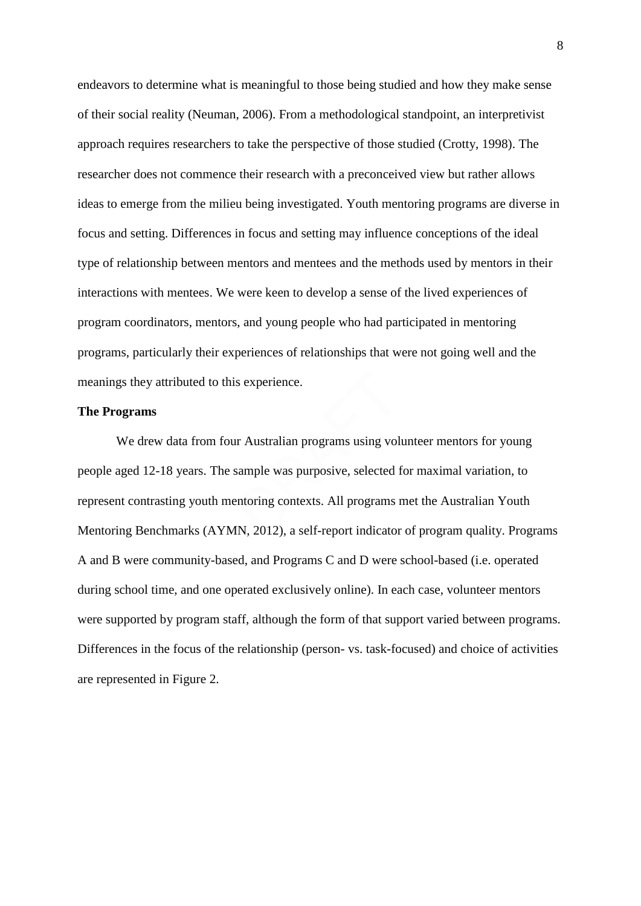endeavors to determine what is meaningful to those being studied and how they make sense of their social reality (Neuman, 2006). From a methodological standpoint, an interpretivist approach requires researchers to take the perspective of those studied (Crotty, 1998). The researcher does not commence their research with a preconceived view but rather allows ideas to emerge from the milieu being investigated. Youth mentoring programs are diverse in focus and setting. Differences in focus and setting may influence conceptions of the ideal type of relationship between mentors and mentees and the methods used by mentors in their interactions with mentees. We were keen to develop a sense of the lived experiences of program coordinators, mentors, and young people who had participated in mentoring programs, particularly their experiences of relationships that were not going well and the meanings they attributed to this experience.

## **The Programs**

We drew data from four Australian programs using volunteer mentors for young people aged 12-18 years. The sample was purposive, selected for maximal variation, to represent contrasting youth mentoring contexts. All programs met the Australian Youth Mentoring Benchmarks (AYMN, 2012), a self-report indicator of program quality. Programs A and B were community-based, and Programs C and D were school-based (i.e. operated during school time, and one operated exclusively online). In each case, volunteer mentors were supported by program staff, although the form of that support varied between programs. Differences in the focus of the relationship (person- vs. task-focused) and choice of activities are represented in Figure 2.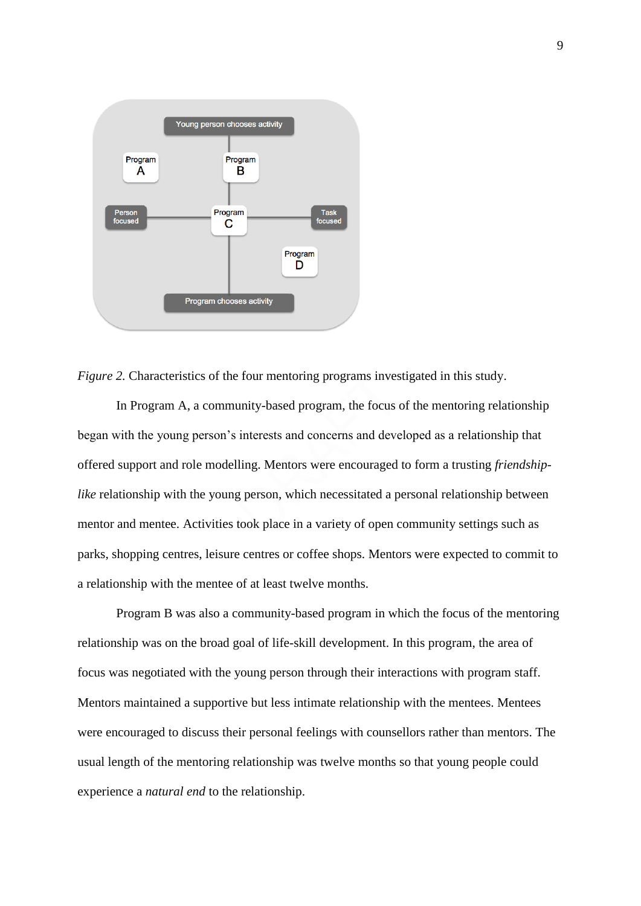

*Figure 2.* Characteristics of the four mentoring programs investigated in this study.

In Program A, a community-based program, the focus of the mentoring relationship began with the young person's interests and concerns and developed as a relationship that offered support and role modelling. Mentors were encouraged to form a trusting *friendshiplike* relationship with the young person, which necessitated a personal relationship between mentor and mentee. Activities took place in a variety of open community settings such as parks, shopping centres, leisure centres or coffee shops. Mentors were expected to commit to a relationship with the mentee of at least twelve months.

Program B was also a community-based program in which the focus of the mentoring relationship was on the broad goal of life-skill development. In this program, the area of focus was negotiated with the young person through their interactions with program staff. Mentors maintained a supportive but less intimate relationship with the mentees. Mentees were encouraged to discuss their personal feelings with counsellors rather than mentors. The usual length of the mentoring relationship was twelve months so that young people could experience a *natural end* to the relationship.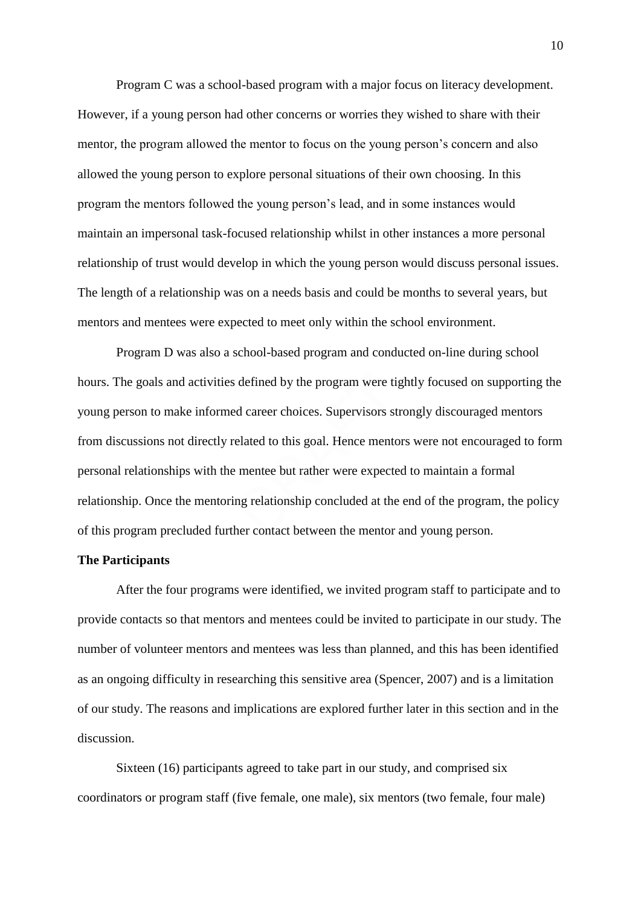Program C was a school-based program with a major focus on literacy development. However, if a young person had other concerns or worries they wished to share with their mentor, the program allowed the mentor to focus on the young person's concern and also allowed the young person to explore personal situations of their own choosing. In this program the mentors followed the young person's lead, and in some instances would maintain an impersonal task-focused relationship whilst in other instances a more personal relationship of trust would develop in which the young person would discuss personal issues. The length of a relationship was on a needs basis and could be months to several years, but mentors and mentees were expected to meet only within the school environment.

Program D was also a school-based program and conducted on-line during school hours. The goals and activities defined by the program were tightly focused on supporting the young person to make informed career choices. Supervisors strongly discouraged mentors from discussions not directly related to this goal. Hence mentors were not encouraged to form personal relationships with the mentee but rather were expected to maintain a formal relationship. Once the mentoring relationship concluded at the end of the program, the policy of this program precluded further contact between the mentor and young person.

# **The Participants**

After the four programs were identified, we invited program staff to participate and to provide contacts so that mentors and mentees could be invited to participate in our study. The number of volunteer mentors and mentees was less than planned, and this has been identified as an ongoing difficulty in researching this sensitive area (Spencer, 2007) and is a limitation of our study. The reasons and implications are explored further later in this section and in the discussion.

Sixteen (16) participants agreed to take part in our study, and comprised six coordinators or program staff (five female, one male), six mentors (two female, four male)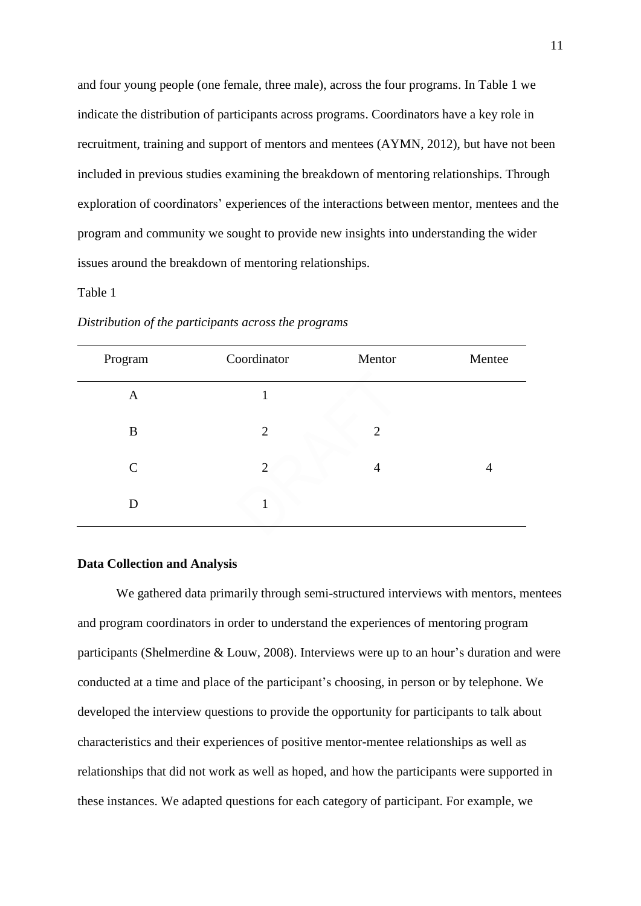and four young people (one female, three male), across the four programs. In Table 1 we indicate the distribution of participants across programs. Coordinators have a key role in recruitment, training and support of mentors and mentees (AYMN, 2012), but have not been included in previous studies examining the breakdown of mentoring relationships. Through exploration of coordinators' experiences of the interactions between mentor, mentees and the program and community we sought to provide new insights into understanding the wider issues around the breakdown of mentoring relationships.

#### Table 1

| Program      | Coordinator    | Mentor         | Mentee |
|--------------|----------------|----------------|--------|
| A            |                |                |        |
| B            | $\overline{2}$ | $\overline{2}$ |        |
| $\mathsf{C}$ | $\overline{2}$ | 4              | 4      |
| D            |                |                |        |

*Distribution of the participants across the programs*

# **Data Collection and Analysis**

We gathered data primarily through semi-structured interviews with mentors, mentees and program coordinators in order to understand the experiences of mentoring program participants (Shelmerdine & Louw, 2008). Interviews were up to an hour's duration and were conducted at a time and place of the participant's choosing, in person or by telephone. We developed the interview questions to provide the opportunity for participants to talk about characteristics and their experiences of positive mentor-mentee relationships as well as relationships that did not work as well as hoped, and how the participants were supported in these instances. We adapted questions for each category of participant. For example, we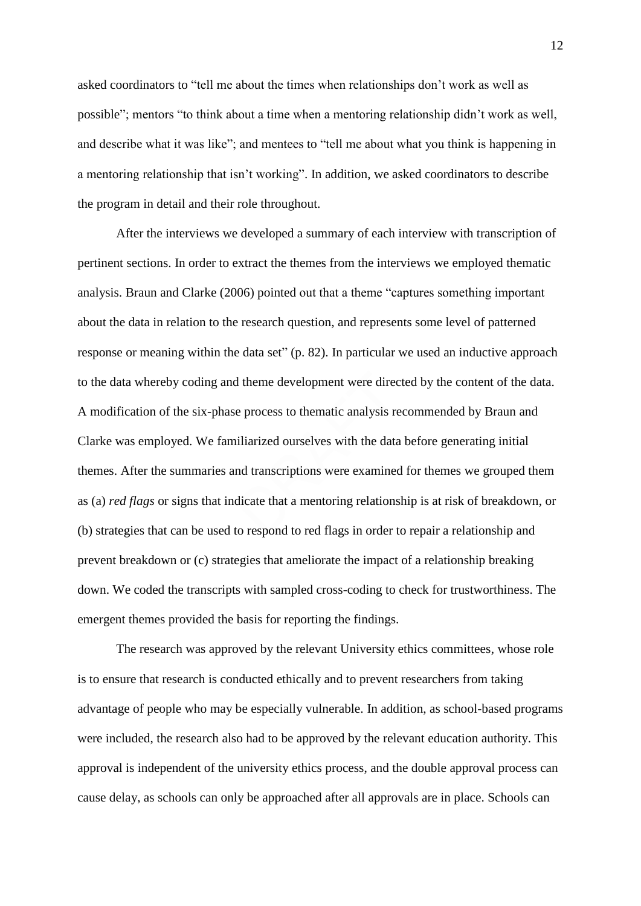asked coordinators to "tell me about the times when relationships don't work as well as possible"; mentors "to think about a time when a mentoring relationship didn't work as well, and describe what it was like"; and mentees to "tell me about what you think is happening in a mentoring relationship that isn't working". In addition, we asked coordinators to describe the program in detail and their role throughout.

After the interviews we developed a summary of each interview with transcription of pertinent sections. In order to extract the themes from the interviews we employed thematic analysis. Braun and Clarke (2006) pointed out that a theme "captures something important about the data in relation to the research question, and represents some level of patterned response or meaning within the data set" (p. 82). In particular we used an inductive approach to the data whereby coding and theme development were directed by the content of the data. A modification of the six-phase process to thematic analysis recommended by Braun and Clarke was employed. We familiarized ourselves with the data before generating initial themes. After the summaries and transcriptions were examined for themes we grouped them as (a) *red flags* or signs that indicate that a mentoring relationship is at risk of breakdown, or (b) strategies that can be used to respond to red flags in order to repair a relationship and prevent breakdown or (c) strategies that ameliorate the impact of a relationship breaking down. We coded the transcripts with sampled cross-coding to check for trustworthiness. The emergent themes provided the basis for reporting the findings.

The research was approved by the relevant University ethics committees, whose role is to ensure that research is conducted ethically and to prevent researchers from taking advantage of people who may be especially vulnerable. In addition, as school-based programs were included, the research also had to be approved by the relevant education authority. This approval is independent of the university ethics process, and the double approval process can cause delay, as schools can only be approached after all approvals are in place. Schools can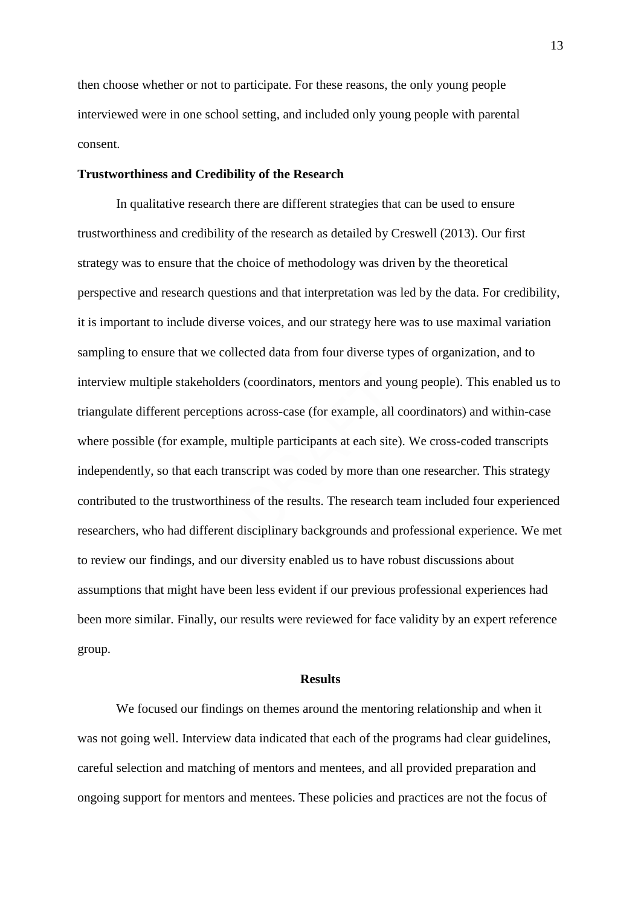then choose whether or not to participate. For these reasons, the only young people interviewed were in one school setting, and included only young people with parental consent.

#### **Trustworthiness and Credibility of the Research**

In qualitative research there are different strategies that can be used to ensure trustworthiness and credibility of the research as detailed by Creswell (2013). Our first strategy was to ensure that the choice of methodology was driven by the theoretical perspective and research questions and that interpretation was led by the data. For credibility, it is important to include diverse voices, and our strategy here was to use maximal variation sampling to ensure that we collected data from four diverse types of organization, and to interview multiple stakeholders (coordinators, mentors and young people). This enabled us to triangulate different perceptions across-case (for example, all coordinators) and within-case where possible (for example, multiple participants at each site). We cross-coded transcripts independently, so that each transcript was coded by more than one researcher. This strategy contributed to the trustworthiness of the results. The research team included four experienced researchers, who had different disciplinary backgrounds and professional experience. We met to review our findings, and our diversity enabled us to have robust discussions about assumptions that might have been less evident if our previous professional experiences had been more similar. Finally, our results were reviewed for face validity by an expert reference group.

## **Results**

We focused our findings on themes around the mentoring relationship and when it was not going well. Interview data indicated that each of the programs had clear guidelines, careful selection and matching of mentors and mentees, and all provided preparation and ongoing support for mentors and mentees. These policies and practices are not the focus of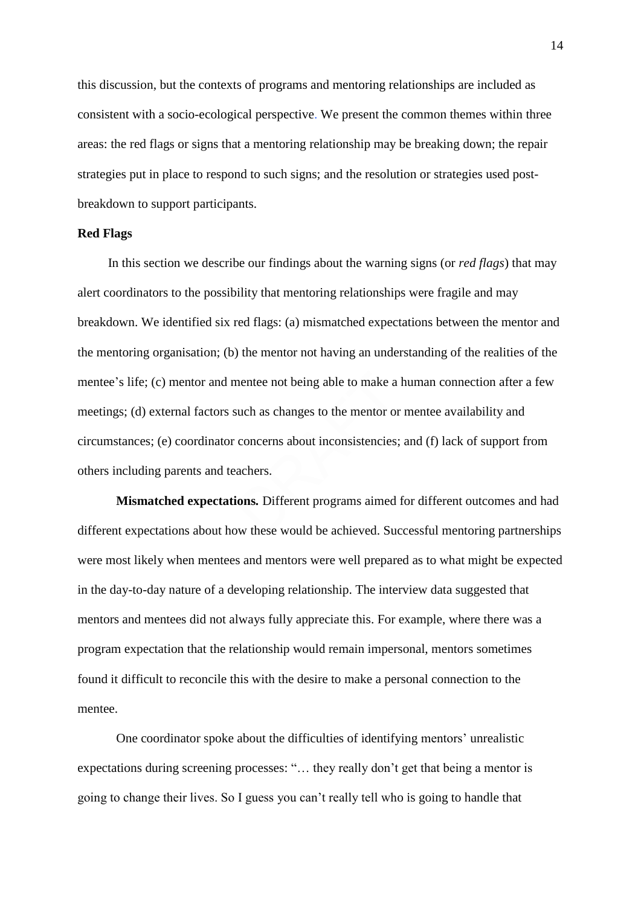this discussion, but the contexts of programs and mentoring relationships are included as consistent with a socio-ecological perspective. We present the common themes within three areas: the red flags or signs that a mentoring relationship may be breaking down; the repair strategies put in place to respond to such signs; and the resolution or strategies used postbreakdown to support participants.

# **Red Flags**

In this section we describe our findings about the warning signs (or *red flags*) that may alert coordinators to the possibility that mentoring relationships were fragile and may breakdown. We identified six red flags: (a) mismatched expectations between the mentor and the mentoring organisation; (b) the mentor not having an understanding of the realities of the mentee's life; (c) mentor and mentee not being able to make a human connection after a few meetings; (d) external factors such as changes to the mentor or mentee availability and circumstances; (e) coordinator concerns about inconsistencies; and (f) lack of support from others including parents and teachers.

**Mismatched expectations***.* Different programs aimed for different outcomes and had different expectations about how these would be achieved. Successful mentoring partnerships were most likely when mentees and mentors were well prepared as to what might be expected in the day-to-day nature of a developing relationship. The interview data suggested that mentors and mentees did not always fully appreciate this. For example, where there was a program expectation that the relationship would remain impersonal, mentors sometimes found it difficult to reconcile this with the desire to make a personal connection to the mentee.

One coordinator spoke about the difficulties of identifying mentors' unrealistic expectations during screening processes: "… they really don't get that being a mentor is going to change their lives. So I guess you can't really tell who is going to handle that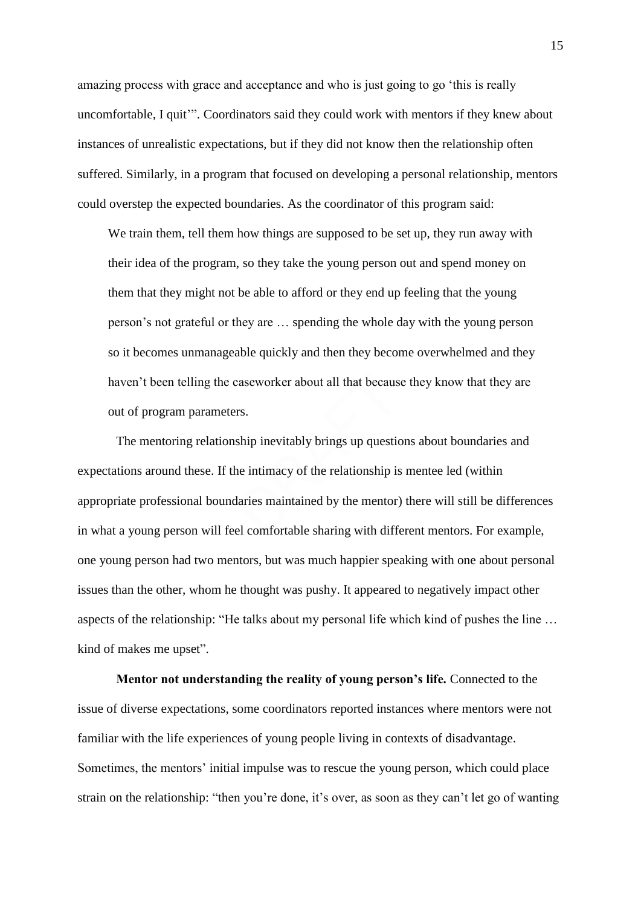amazing process with grace and acceptance and who is just going to go 'this is really uncomfortable, I quit'". Coordinators said they could work with mentors if they knew about instances of unrealistic expectations, but if they did not know then the relationship often suffered. Similarly, in a program that focused on developing a personal relationship, mentors could overstep the expected boundaries. As the coordinator of this program said:

We train them, tell them how things are supposed to be set up, they run away with their idea of the program, so they take the young person out and spend money on them that they might not be able to afford or they end up feeling that the young person's not grateful or they are … spending the whole day with the young person so it becomes unmanageable quickly and then they become overwhelmed and they haven't been telling the caseworker about all that because they know that they are out of program parameters.

The mentoring relationship inevitably brings up questions about boundaries and expectations around these. If the intimacy of the relationship is mentee led (within appropriate professional boundaries maintained by the mentor) there will still be differences in what a young person will feel comfortable sharing with different mentors. For example, one young person had two mentors, but was much happier speaking with one about personal issues than the other, whom he thought was pushy. It appeared to negatively impact other aspects of the relationship: "He talks about my personal life which kind of pushes the line … kind of makes me upset".

**Mentor not understanding the reality of young person's life***.* Connected to the issue of diverse expectations, some coordinators reported instances where mentors were not familiar with the life experiences of young people living in contexts of disadvantage. Sometimes, the mentors' initial impulse was to rescue the young person, which could place strain on the relationship: "then you're done, it's over, as soon as they can't let go of wanting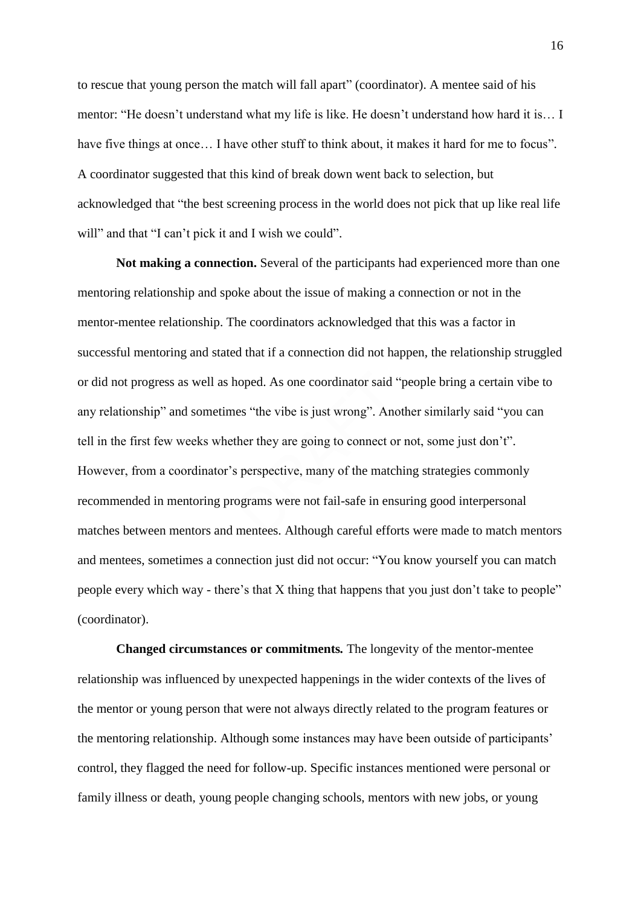to rescue that young person the match will fall apart" (coordinator). A mentee said of his mentor: "He doesn't understand what my life is like. He doesn't understand how hard it is… I have five things at once... I have other stuff to think about, it makes it hard for me to focus". A coordinator suggested that this kind of break down went back to selection, but acknowledged that "the best screening process in the world does not pick that up like real life will" and that "I can't pick it and I wish we could".

**Not making a connection.** Several of the participants had experienced more than one mentoring relationship and spoke about the issue of making a connection or not in the mentor-mentee relationship. The coordinators acknowledged that this was a factor in successful mentoring and stated that if a connection did not happen, the relationship struggled or did not progress as well as hoped. As one coordinator said "people bring a certain vibe to any relationship" and sometimes "the vibe is just wrong". Another similarly said "you can tell in the first few weeks whether they are going to connect or not, some just don't". However, from a coordinator's perspective, many of the matching strategies commonly recommended in mentoring programs were not fail-safe in ensuring good interpersonal matches between mentors and mentees. Although careful efforts were made to match mentors and mentees, sometimes a connection just did not occur: "You know yourself you can match people every which way - there's that X thing that happens that you just don't take to people" (coordinator).

**Changed circumstances or commitments***.* The longevity of the mentor-mentee relationship was influenced by unexpected happenings in the wider contexts of the lives of the mentor or young person that were not always directly related to the program features or the mentoring relationship. Although some instances may have been outside of participants' control, they flagged the need for follow-up. Specific instances mentioned were personal or family illness or death, young people changing schools, mentors with new jobs, or young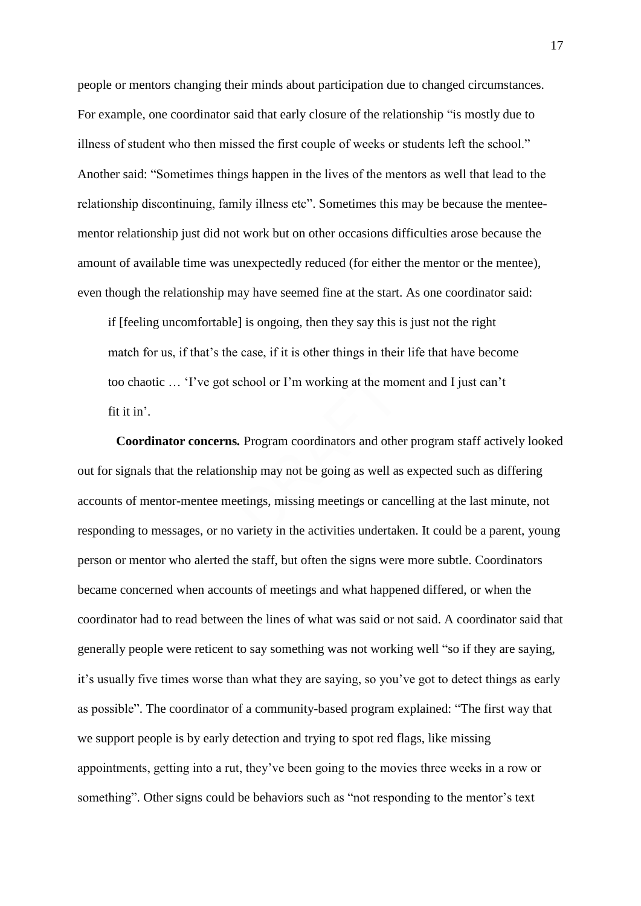people or mentors changing their minds about participation due to changed circumstances. For example, one coordinator said that early closure of the relationship "is mostly due to illness of student who then missed the first couple of weeks or students left the school." Another said: "Sometimes things happen in the lives of the mentors as well that lead to the relationship discontinuing, family illness etc". Sometimes this may be because the menteementor relationship just did not work but on other occasions difficulties arose because the amount of available time was unexpectedly reduced (for either the mentor or the mentee), even though the relationship may have seemed fine at the start. As one coordinator said:

if [feeling uncomfortable] is ongoing, then they say this is just not the right match for us, if that's the case, if it is other things in their life that have become too chaotic … 'I've got school or I'm working at the moment and I just can't fit it in'.

**Coordinator concerns***.* Program coordinators and other program staff actively looked out for signals that the relationship may not be going as well as expected such as differing accounts of mentor-mentee meetings, missing meetings or cancelling at the last minute, not responding to messages, or no variety in the activities undertaken. It could be a parent, young person or mentor who alerted the staff, but often the signs were more subtle. Coordinators became concerned when accounts of meetings and what happened differed, or when the coordinator had to read between the lines of what was said or not said. A coordinator said that generally people were reticent to say something was not working well "so if they are saying, it's usually five times worse than what they are saying, so you've got to detect things as early as possible". The coordinator of a community-based program explained: "The first way that we support people is by early detection and trying to spot red flags, like missing appointments, getting into a rut, they've been going to the movies three weeks in a row or something". Other signs could be behaviors such as "not responding to the mentor's text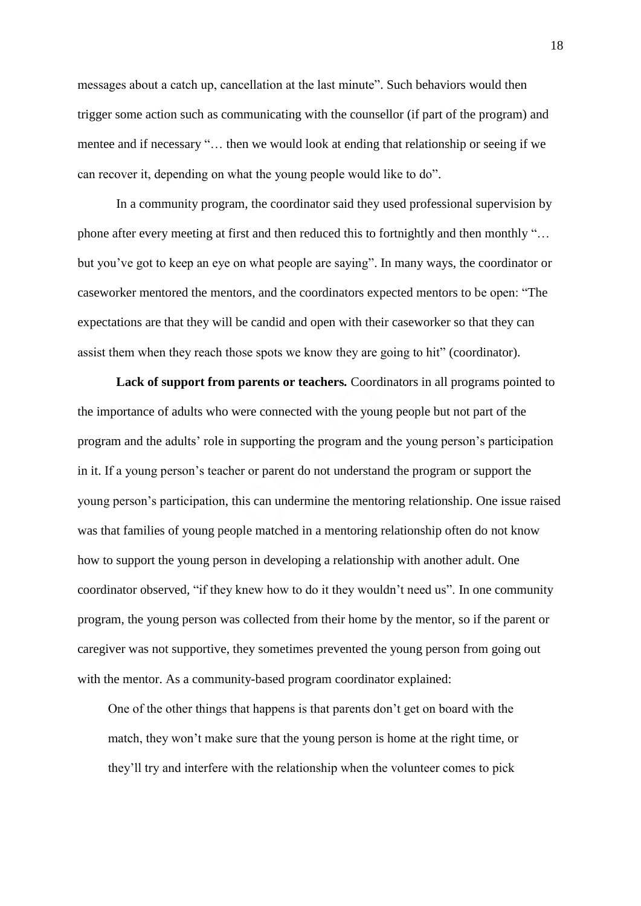messages about a catch up, cancellation at the last minute". Such behaviors would then trigger some action such as communicating with the counsellor (if part of the program) and mentee and if necessary "… then we would look at ending that relationship or seeing if we can recover it, depending on what the young people would like to do".

In a community program, the coordinator said they used professional supervision by phone after every meeting at first and then reduced this to fortnightly and then monthly "… but you've got to keep an eye on what people are saying". In many ways, the coordinator or caseworker mentored the mentors, and the coordinators expected mentors to be open: "The expectations are that they will be candid and open with their caseworker so that they can assist them when they reach those spots we know they are going to hit" (coordinator).

**Lack of support from parents or teachers***.* Coordinators in all programs pointed to the importance of adults who were connected with the young people but not part of the program and the adults' role in supporting the program and the young person's participation in it. If a young person's teacher or parent do not understand the program or support the young person's participation, this can undermine the mentoring relationship. One issue raised was that families of young people matched in a mentoring relationship often do not know how to support the young person in developing a relationship with another adult. One coordinator observed*,* "if they knew how to do it they wouldn't need us". In one community program, the young person was collected from their home by the mentor, so if the parent or caregiver was not supportive, they sometimes prevented the young person from going out with the mentor. As a community-based program coordinator explained:

One of the other things that happens is that parents don't get on board with the match, they won't make sure that the young person is home at the right time, or they'll try and interfere with the relationship when the volunteer comes to pick

18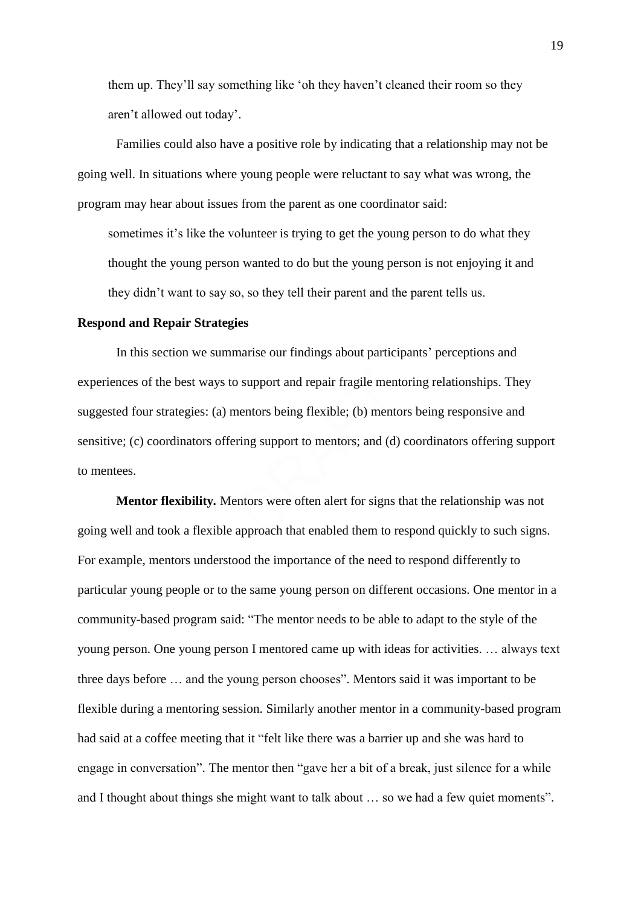them up. They'll say something like 'oh they haven't cleaned their room so they aren't allowed out today'.

Families could also have a positive role by indicating that a relationship may not be going well. In situations where young people were reluctant to say what was wrong, the program may hear about issues from the parent as one coordinator said:

sometimes it's like the volunteer is trying to get the young person to do what they thought the young person wanted to do but the young person is not enjoying it and they didn't want to say so, so they tell their parent and the parent tells us.

#### **Respond and Repair Strategies**

In this section we summarise our findings about participants' perceptions and experiences of the best ways to support and repair fragile mentoring relationships. They suggested four strategies: (a) mentors being flexible; (b) mentors being responsive and sensitive; (c) coordinators offering support to mentors; and (d) coordinators offering support to mentees.

**Mentor flexibility***.* Mentors were often alert for signs that the relationship was not going well and took a flexible approach that enabled them to respond quickly to such signs. For example, mentors understood the importance of the need to respond differently to particular young people or to the same young person on different occasions. One mentor in a community-based program said: "The mentor needs to be able to adapt to the style of the young person. One young person I mentored came up with ideas for activities. … always text three days before … and the young person chooses". Mentors said it was important to be flexible during a mentoring session. Similarly another mentor in a community-based program had said at a coffee meeting that it "felt like there was a barrier up and she was hard to engage in conversation". The mentor then "gave her a bit of a break, just silence for a while and I thought about things she might want to talk about … so we had a few quiet moments".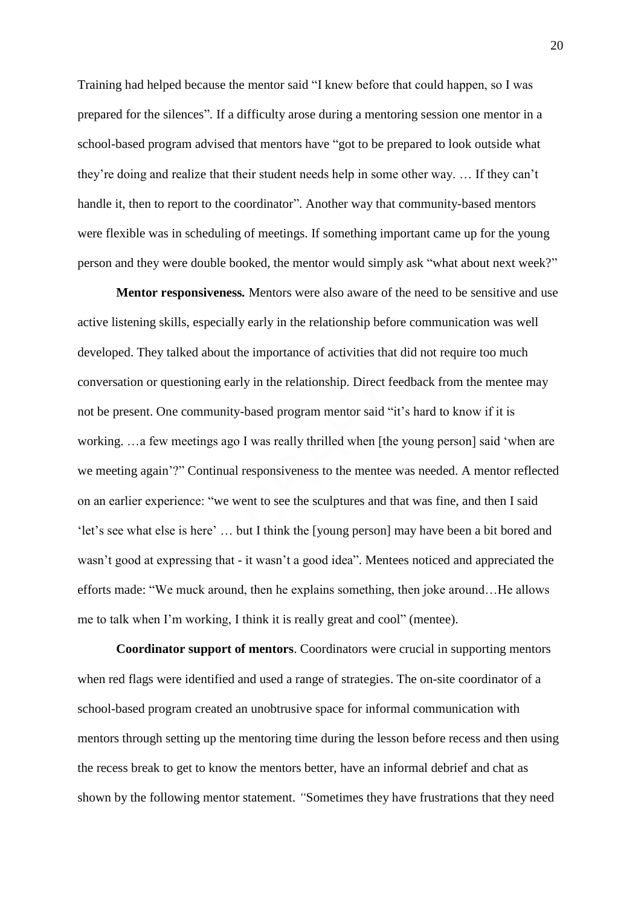Training had helped because the mentor said "I knew before that could happen, so I was prepared for the silences"*.* If a difficulty arose during a mentoring session one mentor in a school-based program advised that mentors have "got to be prepared to look outside what they're doing and realize that their student needs help in some other way. … If they can't handle it, then to report to the coordinator". Another way that community-based mentors were flexible was in scheduling of meetings. If something important came up for the young person and they were double booked, the mentor would simply ask "what about next week?"

**Mentor responsiveness***.* Mentors were also aware of the need to be sensitive and use active listening skills, especially early in the relationship before communication was well developed. They talked about the importance of activities that did not require too much conversation or questioning early in the relationship. Direct feedback from the mentee may not be present. One community-based program mentor said "it's hard to know if it is working. …a few meetings ago I was really thrilled when [the young person] said 'when are we meeting again'?" Continual responsiveness to the mentee was needed. A mentor reflected on an earlier experience: "we went to see the sculptures and that was fine, and then I said 'let's see what else is here' … but I think the [young person] may have been a bit bored and wasn't good at expressing that - it wasn't a good idea". Mentees noticed and appreciated the efforts made: "We muck around, then he explains something, then joke around…He allows me to talk when I'm working, I think it is really great and cool" (mentee).

**Coordinator support of mentors**. Coordinators were crucial in supporting mentors when red flags were identified and used a range of strategies. The on-site coordinator of a school-based program created an unobtrusive space for informal communication with mentors through setting up the mentoring time during the lesson before recess and then using the recess break to get to know the mentors better, have an informal debrief and chat as shown by the following mentor statement. *"*Sometimes they have frustrations that they need

20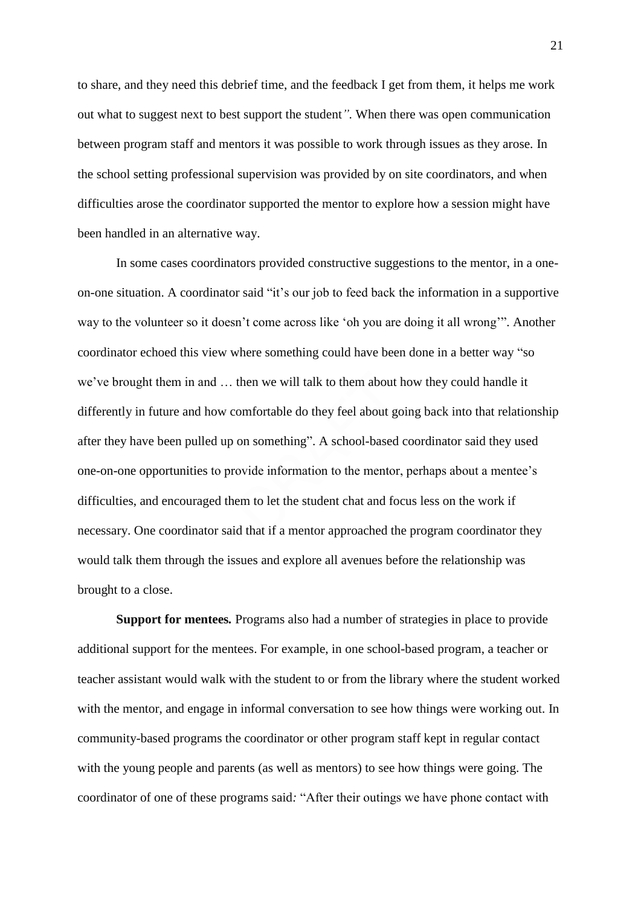to share, and they need this debrief time, and the feedback I get from them, it helps me work out what to suggest next to best support the student*".* When there was open communication between program staff and mentors it was possible to work through issues as they arose. In the school setting professional supervision was provided by on site coordinators, and when difficulties arose the coordinator supported the mentor to explore how a session might have been handled in an alternative way.

In some cases coordinators provided constructive suggestions to the mentor, in a oneon-one situation. A coordinator said "it's our job to feed back the information in a supportive way to the volunteer so it doesn't come across like 'oh you are doing it all wrong'". Another coordinator echoed this view where something could have been done in a better way "so we've brought them in and … then we will talk to them about how they could handle it differently in future and how comfortable do they feel about going back into that relationship after they have been pulled up on something". A school-based coordinator said they used one-on-one opportunities to provide information to the mentor, perhaps about a mentee's difficulties, and encouraged them to let the student chat and focus less on the work if necessary. One coordinator said that if a mentor approached the program coordinator they would talk them through the issues and explore all avenues before the relationship was brought to a close.

**Support for mentees***.* Programs also had a number of strategies in place to provide additional support for the mentees. For example, in one school-based program, a teacher or teacher assistant would walk with the student to or from the library where the student worked with the mentor, and engage in informal conversation to see how things were working out. In community-based programs the coordinator or other program staff kept in regular contact with the young people and parents (as well as mentors) to see how things were going. The coordinator of one of these programs said*:* "After their outings we have phone contact with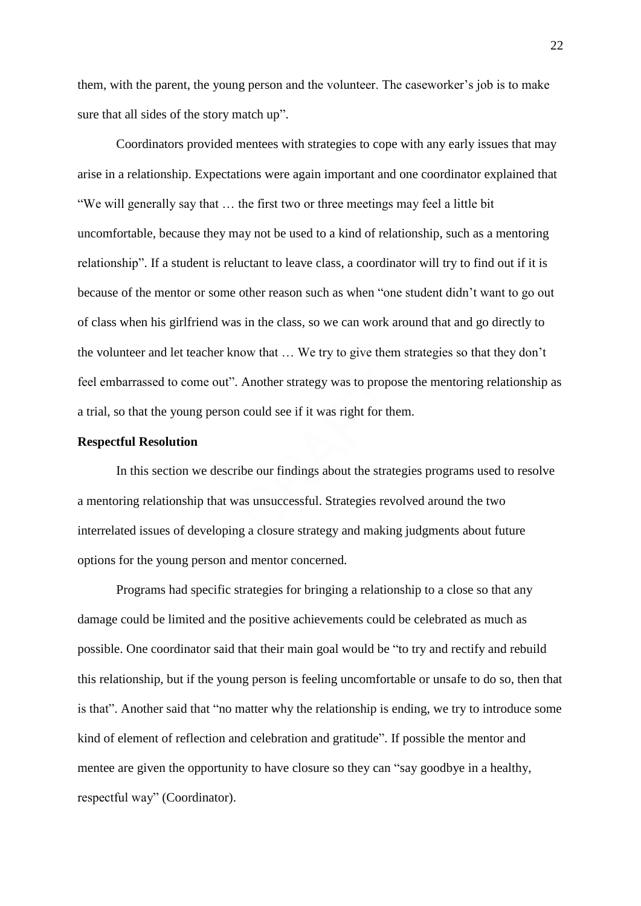them, with the parent, the young person and the volunteer. The caseworker's job is to make sure that all sides of the story match up".

Coordinators provided mentees with strategies to cope with any early issues that may arise in a relationship. Expectations were again important and one coordinator explained that "We will generally say that … the first two or three meetings may feel a little bit uncomfortable, because they may not be used to a kind of relationship, such as a mentoring relationship". If a student is reluctant to leave class, a coordinator will try to find out if it is because of the mentor or some other reason such as when "one student didn't want to go out of class when his girlfriend was in the class, so we can work around that and go directly to the volunteer and let teacher know that … We try to give them strategies so that they don't feel embarrassed to come out". Another strategy was to propose the mentoring relationship as a trial, so that the young person could see if it was right for them.

## **Respectful Resolution**

In this section we describe our findings about the strategies programs used to resolve a mentoring relationship that was unsuccessful. Strategies revolved around the two interrelated issues of developing a closure strategy and making judgments about future options for the young person and mentor concerned.

Programs had specific strategies for bringing a relationship to a close so that any damage could be limited and the positive achievements could be celebrated as much as possible. One coordinator said that their main goal would be "to try and rectify and rebuild this relationship, but if the young person is feeling uncomfortable or unsafe to do so, then that is that". Another said that "no matter why the relationship is ending, we try to introduce some kind of element of reflection and celebration and gratitude". If possible the mentor and mentee are given the opportunity to have closure so they can "say goodbye in a healthy, respectful way" (Coordinator).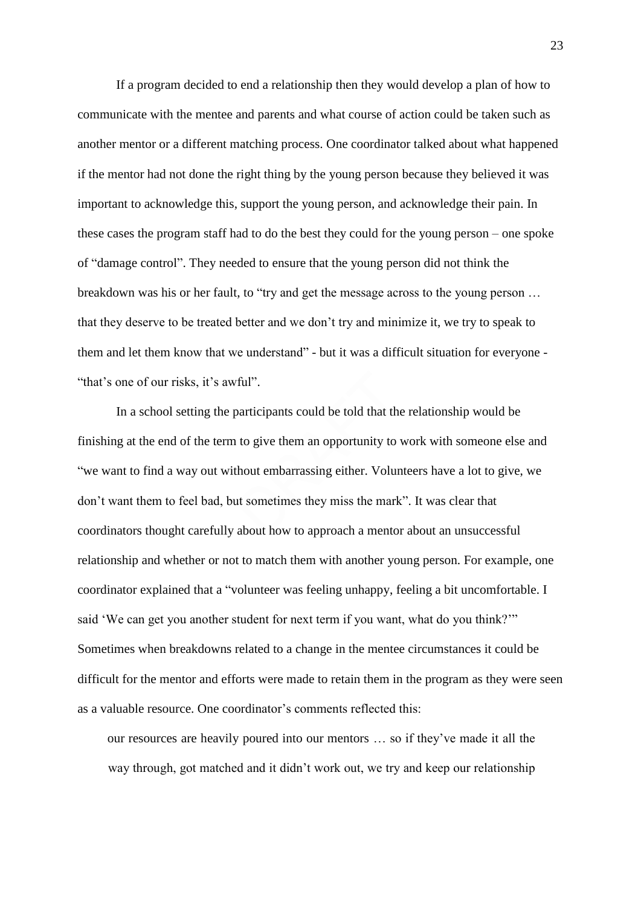If a program decided to end a relationship then they would develop a plan of how to communicate with the mentee and parents and what course of action could be taken such as another mentor or a different matching process. One coordinator talked about what happened if the mentor had not done the right thing by the young person because they believed it was important to acknowledge this, support the young person, and acknowledge their pain. In these cases the program staff had to do the best they could for the young person – one spoke of "damage control". They needed to ensure that the young person did not think the breakdown was his or her fault, to "try and get the message across to the young person … that they deserve to be treated better and we don't try and minimize it, we try to speak to them and let them know that we understand" *-* but it was a difficult situation for everyone - "that's one of our risks, it's awful".

In a school setting the participants could be told that the relationship would be finishing at the end of the term to give them an opportunity to work with someone else and "we want to find a way out without embarrassing either. Volunteers have a lot to give, we don't want them to feel bad, but sometimes they miss the mark". It was clear that coordinators thought carefully about how to approach a mentor about an unsuccessful relationship and whether or not to match them with another young person. For example, one coordinator explained that a "volunteer was feeling unhappy, feeling a bit uncomfortable. I said 'We can get you another student for next term if you want, what do you think?'" Sometimes when breakdowns related to a change in the mentee circumstances it could be difficult for the mentor and efforts were made to retain them in the program as they were seen as a valuable resource. One coordinator's comments reflected this:

our resources are heavily poured into our mentors … so if they've made it all the way through, got matched and it didn't work out, we try and keep our relationship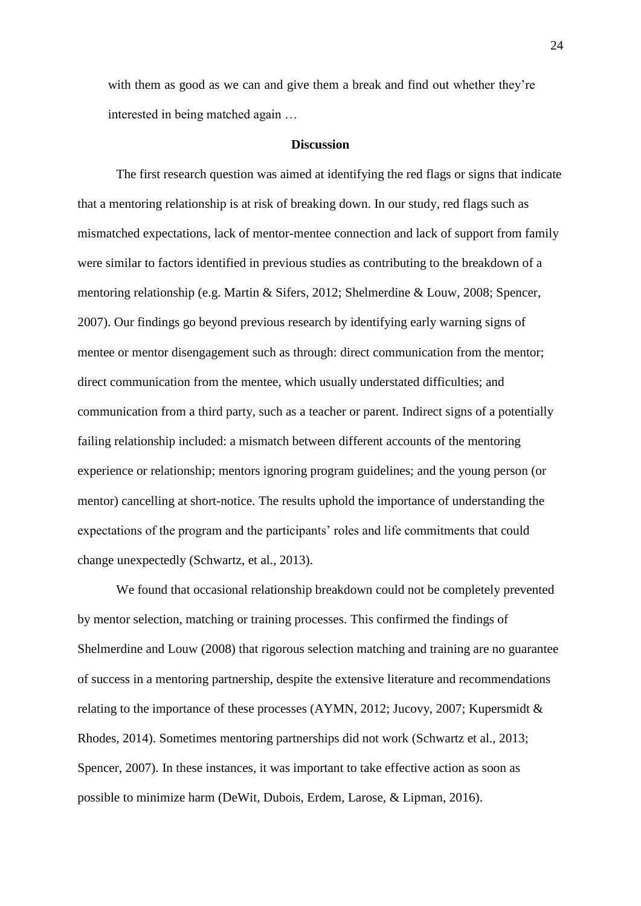with them as good as we can and give them a break and find out whether they're interested in being matched again …

#### **Discussion**

The first research question was aimed at identifying the red flags or signs that indicate that a mentoring relationship is at risk of breaking down. In our study, red flags such as mismatched expectations, lack of mentor-mentee connection and lack of support from family were similar to factors identified in previous studies as contributing to the breakdown of a mentoring relationship (e.g. Martin & Sifers, 2012; Shelmerdine & Louw, 2008; Spencer, 2007). Our findings go beyond previous research by identifying early warning signs of mentee or mentor disengagement such as through: direct communication from the mentor; direct communication from the mentee, which usually understated difficulties; and communication from a third party, such as a teacher or parent. Indirect signs of a potentially failing relationship included: a mismatch between different accounts of the mentoring experience or relationship; mentors ignoring program guidelines; and the young person (or mentor) cancelling at short-notice. The results uphold the importance of understanding the expectations of the program and the participants' roles and life commitments that could change unexpectedly (Schwartz, et al., 2013).

We found that occasional relationship breakdown could not be completely prevented by mentor selection, matching or training processes. This confirmed the findings of Shelmerdine and Louw (2008) that rigorous selection matching and training are no guarantee of success in a mentoring partnership, despite the extensive literature and recommendations relating to the importance of these processes (AYMN, 2012; Jucovy, 2007; Kupersmidt & Rhodes, 2014). Sometimes mentoring partnerships did not work (Schwartz et al., 2013; Spencer, 2007). In these instances, it was important to take effective action as soon as possible to minimize harm (DeWit, Dubois, Erdem, Larose, & Lipman, 2016).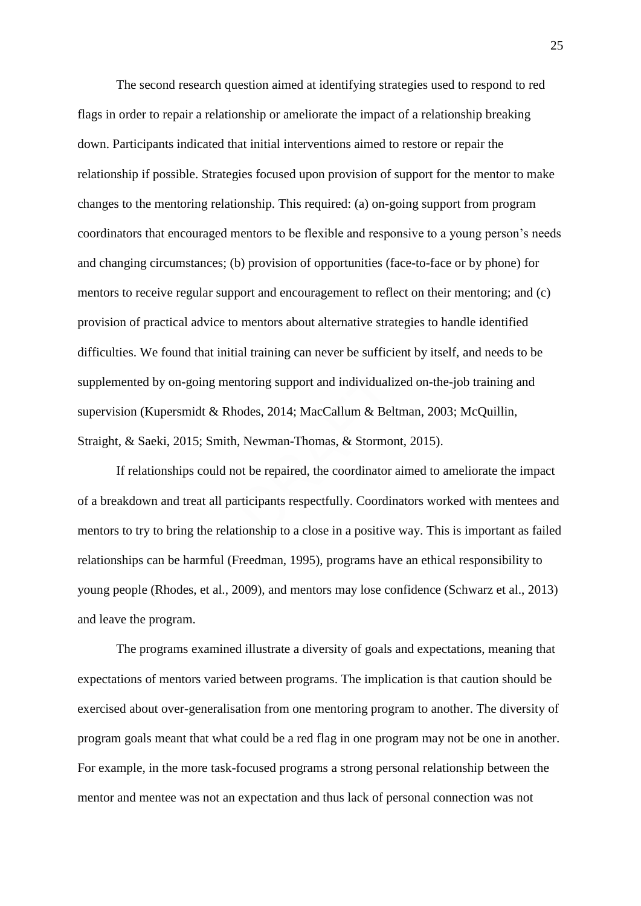The second research question aimed at identifying strategies used to respond to red flags in order to repair a relationship or ameliorate the impact of a relationship breaking down. Participants indicated that initial interventions aimed to restore or repair the relationship if possible. Strategies focused upon provision of support for the mentor to make changes to the mentoring relationship. This required: (a) on-going support from program coordinators that encouraged mentors to be flexible and responsive to a young person's needs and changing circumstances; (b) provision of opportunities (face-to-face or by phone) for mentors to receive regular support and encouragement to reflect on their mentoring; and (c) provision of practical advice to mentors about alternative strategies to handle identified difficulties. We found that initial training can never be sufficient by itself, and needs to be supplemented by on-going mentoring support and individualized on-the-job training and supervision (Kupersmidt & Rhodes, 2014; MacCallum & Beltman, 2003; McQuillin, Straight, & Saeki, 2015; Smith, Newman-Thomas, & Stormont, 2015).

If relationships could not be repaired, the coordinator aimed to ameliorate the impact of a breakdown and treat all participants respectfully. Coordinators worked with mentees and mentors to try to bring the relationship to a close in a positive way. This is important as failed relationships can be harmful (Freedman, 1995), programs have an ethical responsibility to young people (Rhodes, et al., 2009), and mentors may lose confidence (Schwarz et al., 2013) and leave the program.

The programs examined illustrate a diversity of goals and expectations, meaning that expectations of mentors varied between programs. The implication is that caution should be exercised about over-generalisation from one mentoring program to another. The diversity of program goals meant that what could be a red flag in one program may not be one in another. For example, in the more task-focused programs a strong personal relationship between the mentor and mentee was not an expectation and thus lack of personal connection was not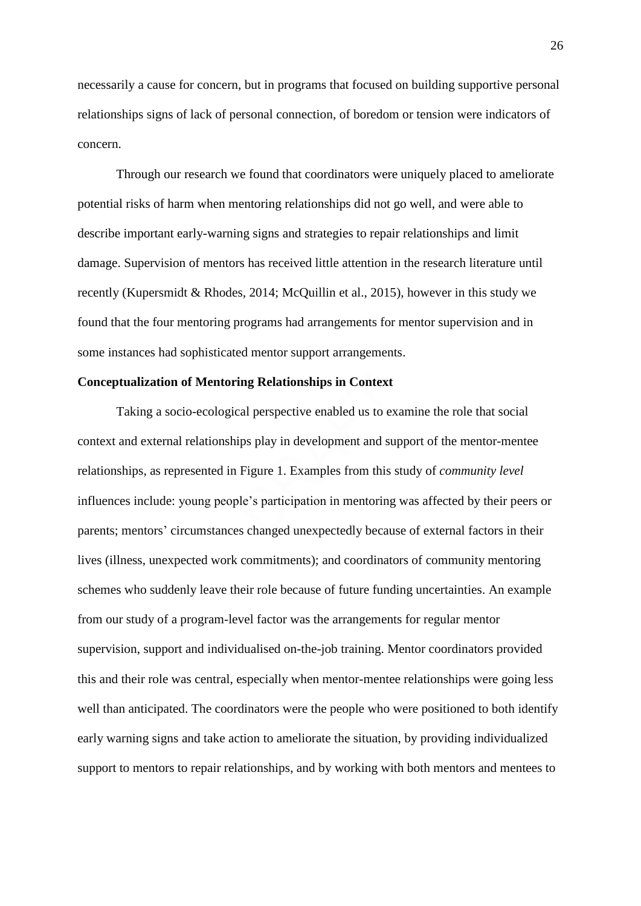necessarily a cause for concern, but in programs that focused on building supportive personal relationships signs of lack of personal connection, of boredom or tension were indicators of concern.

Through our research we found that coordinators were uniquely placed to ameliorate potential risks of harm when mentoring relationships did not go well, and were able to describe important early-warning signs and strategies to repair relationships and limit damage. Supervision of mentors has received little attention in the research literature until recently (Kupersmidt & Rhodes, 2014; McQuillin et al., 2015), however in this study we found that the four mentoring programs had arrangements for mentor supervision and in some instances had sophisticated mentor support arrangements.

## **Conceptualization of Mentoring Relationships in Context**

Taking a socio-ecological perspective enabled us to examine the role that social context and external relationships play in development and support of the mentor-mentee relationships, as represented in Figure 1. Examples from this study of *community level* influences include: young people's participation in mentoring was affected by their peers or parents; mentors' circumstances changed unexpectedly because of external factors in their lives (illness, unexpected work commitments); and coordinators of community mentoring schemes who suddenly leave their role because of future funding uncertainties. An example from our study of a program-level factor was the arrangements for regular mentor supervision, support and individualised on-the-job training. Mentor coordinators provided this and their role was central, especially when mentor-mentee relationships were going less well than anticipated. The coordinators were the people who were positioned to both identify early warning signs and take action to ameliorate the situation, by providing individualized support to mentors to repair relationships, and by working with both mentors and mentees to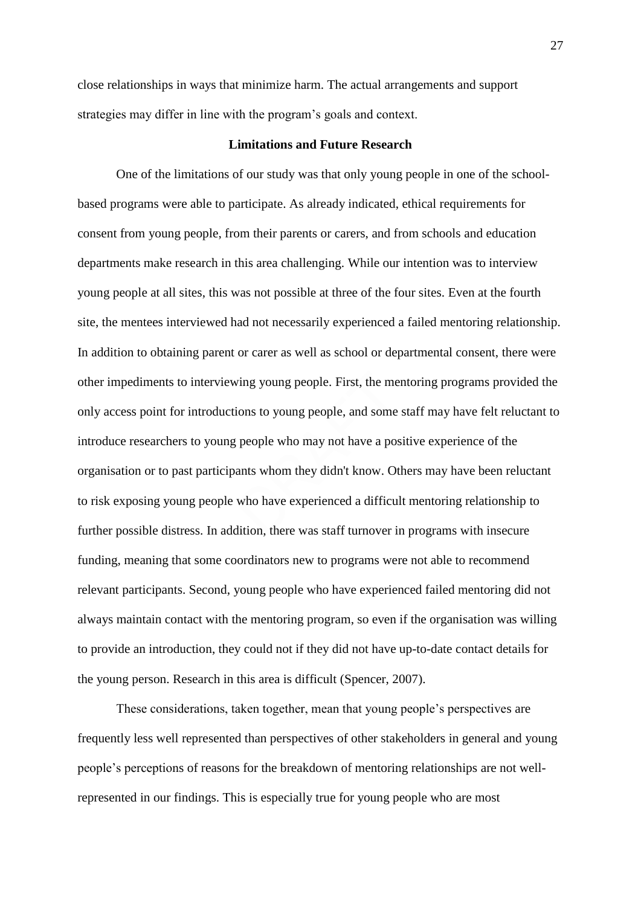close relationships in ways that minimize harm. The actual arrangements and support strategies may differ in line with the program's goals and context.

#### **Limitations and Future Research**

One of the limitations of our study was that only young people in one of the schoolbased programs were able to participate. As already indicated, ethical requirements for consent from young people, from their parents or carers, and from schools and education departments make research in this area challenging. While our intention was to interview young people at all sites, this was not possible at three of the four sites. Even at the fourth site, the mentees interviewed had not necessarily experienced a failed mentoring relationship. In addition to obtaining parent or carer as well as school or departmental consent, there were other impediments to interviewing young people. First, the mentoring programs provided the only access point for introductions to young people, and some staff may have felt reluctant to introduce researchers to young people who may not have a positive experience of the organisation or to past participants whom they didn't know. Others may have been reluctant to risk exposing young people who have experienced a difficult mentoring relationship to further possible distress. In addition, there was staff turnover in programs with insecure funding, meaning that some coordinators new to programs were not able to recommend relevant participants. Second, young people who have experienced failed mentoring did not always maintain contact with the mentoring program, so even if the organisation was willing to provide an introduction, they could not if they did not have up-to-date contact details for the young person. Research in this area is difficult (Spencer, 2007).

These considerations, taken together, mean that young people's perspectives are frequently less well represented than perspectives of other stakeholders in general and young people's perceptions of reasons for the breakdown of mentoring relationships are not wellrepresented in our findings. This is especially true for young people who are most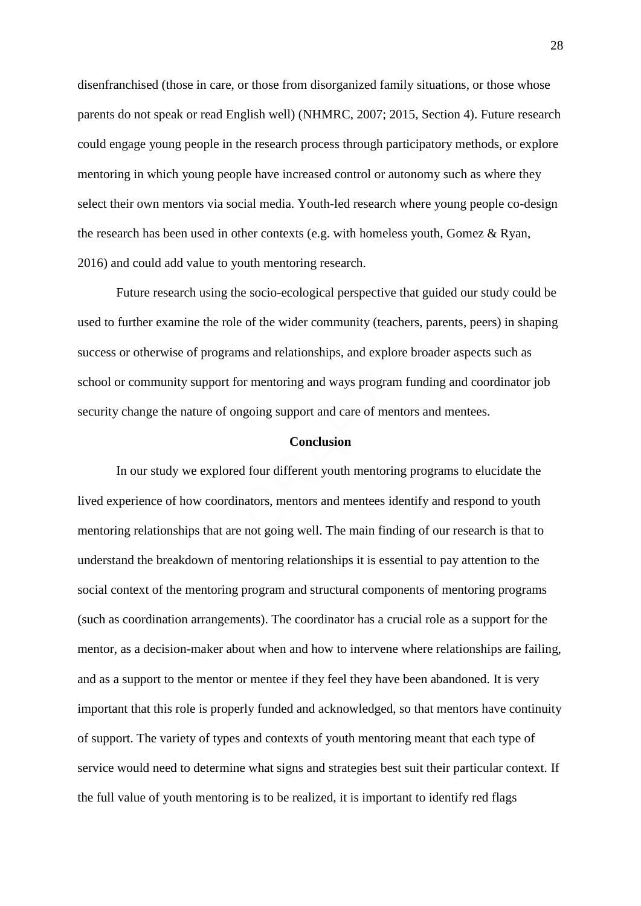disenfranchised (those in care, or those from disorganized family situations, or those whose parents do not speak or read English well) (NHMRC, 2007; 2015, Section 4). Future research could engage young people in the research process through participatory methods, or explore mentoring in which young people have increased control or autonomy such as where they select their own mentors via social media. Youth-led research where young people co-design the research has been used in other contexts (e.g. with homeless youth, Gomez & Ryan, 2016) and could add value to youth mentoring research.

Future research using the socio-ecological perspective that guided our study could be used to further examine the role of the wider community (teachers, parents, peers) in shaping success or otherwise of programs and relationships, and explore broader aspects such as school or community support for mentoring and ways program funding and coordinator job security change the nature of ongoing support and care of mentors and mentees.

### **Conclusion**

In our study we explored four different youth mentoring programs to elucidate the lived experience of how coordinators, mentors and mentees identify and respond to youth mentoring relationships that are not going well. The main finding of our research is that to understand the breakdown of mentoring relationships it is essential to pay attention to the social context of the mentoring program and structural components of mentoring programs (such as coordination arrangements). The coordinator has a crucial role as a support for the mentor, as a decision-maker about when and how to intervene where relationships are failing, and as a support to the mentor or mentee if they feel they have been abandoned. It is very important that this role is properly funded and acknowledged, so that mentors have continuity of support. The variety of types and contexts of youth mentoring meant that each type of service would need to determine what signs and strategies best suit their particular context. If the full value of youth mentoring is to be realized, it is important to identify red flags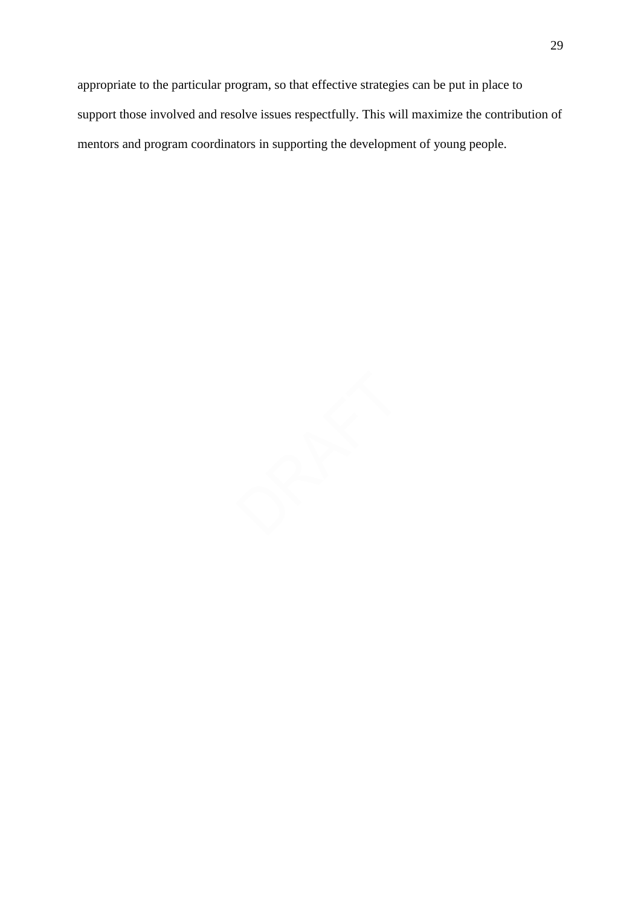appropriate to the particular program, so that effective strategies can be put in place to support those involved and resolve issues respectfully. This will maximize the contribution of mentors and program coordinators in supporting the development of young people.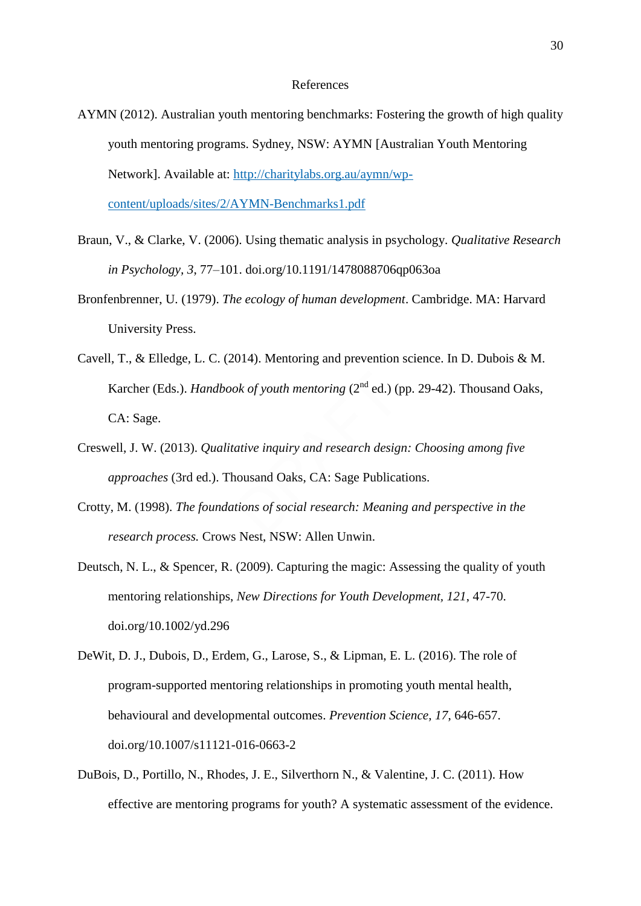#### References

- AYMN (2012). Australian youth mentoring benchmarks: Fostering the growth of high quality youth mentoring programs. Sydney, NSW: AYMN [Australian Youth Mentoring Network]. Available at: [http://charitylabs.org.au/aymn/wp](http://charitylabs.org.au/aymn/wp-content/uploads/sites/2/AYMN-Benchmarks1.pdf)[content/uploads/sites/2/AYMN-Benchmarks1.pdf](http://charitylabs.org.au/aymn/wp-content/uploads/sites/2/AYMN-Benchmarks1.pdf)
- Braun, V., & Clarke, V. (2006). Using thematic analysis in psychology. *Qualitative Res*e*arch in Psychology, 3*, 77–101. doi.org/10.1191/1478088706qp063oa
- Bronfenbrenner, U. (1979). *The ecology of human development*. Cambridge. MA: Harvard University Press.
- Cavell, T., & Elledge, L. C. (2014). Mentoring and prevention science. In D. Dubois & M. Karcher (Eds.). *Handbook of youth mentoring* (2<sup>nd</sup> ed.) (pp. 29-42). Thousand Oaks, CA: Sage.
- Creswell, J. W. (2013). *Qualitative inquiry and research design: Choosing among five approaches* (3rd ed.). Thousand Oaks, CA: Sage Publications.
- Crotty, M. (1998). *The foundations of social research: Meaning and perspective in the research process.* Crows Nest, NSW: Allen Unwin.
- Deutsch, N. [L., & Spencer, R. \(2009\). Capturing the magic: Assessing the quality of youth](http://0-onlinelibrary.wiley.com.prospero.murdoch.edu.au/doi/10.1002/yd.296/pdf)  mentoring relationships, *[New Directions for Youth Development, 121](http://0-onlinelibrary.wiley.com.prospero.murdoch.edu.au/doi/10.1002/yd.296/pdf)*, 47-70. doi.org/10.1002/yd.296
- DeWit, D. J., Dubois, D., Erdem, G., Larose, S., & Lipman, E. L. (2016). The role of program-supported mentoring relationships in promoting youth mental health, behavioural and developmental outcomes. *Prevention Science, 17*, 646-657. doi.org/10.1007/s11121-016-0663-2
- DuBois, D., Portillo, N., Rhodes, J. E., Silverthorn N., & Valentine, J. C. (2011). How effective are mentoring programs for youth? A systematic assessment of the evidence.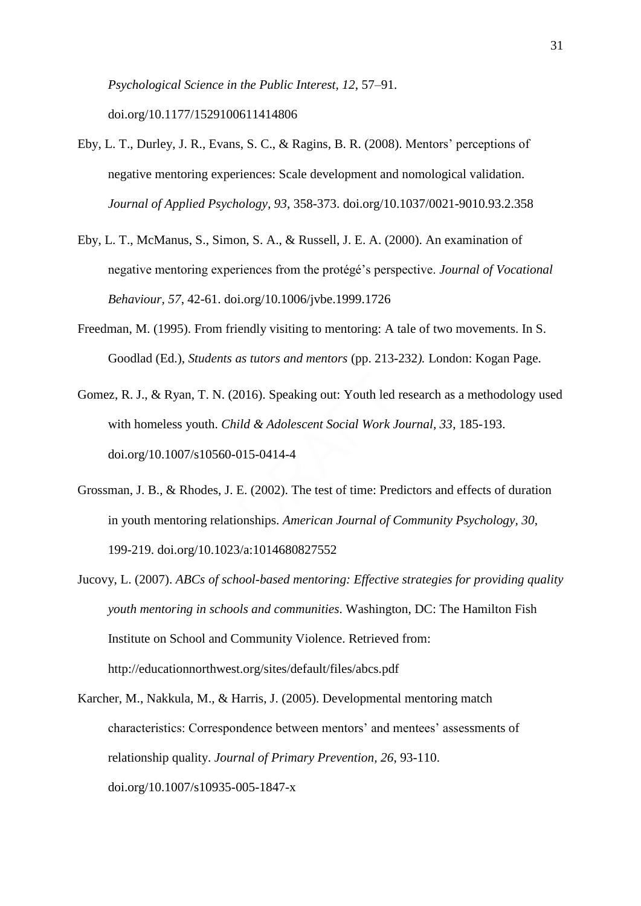*Psychological Science in the Public Interest*, *12*, 57–91. doi.org/10.1177/1529100611414806

- Eby, L. T., Durley, J. R., Evans, S. C., & Ragins, B. R. (2008). Mentors' perceptions of negative mentoring experiences: Scale development and nomological validation. *Journal of Applied Psychology, 93*, 358-373. doi.org/10.1037/0021-9010.93.2.358
- Eby, L. T., McManus, S., Simon, S. A., & Russell, J. E. A. (2000). An examination of negative mentoring experiences from the protégé's perspective. *Journal of Vocational Behaviour, 57*, 42-61. doi.org/10.1006/jvbe.1999.1726
- Freedman, M. (1995). From friendly visiting to mentoring: A tale of two movements. In S. Goodlad (Ed.), *Students as tutors and mentors* (pp. 213-232*).* London: Kogan Page.
- Gomez, R. J., & Ryan, T. N. (2016). Speaking out: Youth led research as a methodology used with homeless youth. *Child & Adolescent Social Work Journal, 33*, 185-193. doi.org/10.1007/s10560-015-0414-4
- Grossman, J. B., & Rhodes, J. E. (2002). The test of time: Predictors and effects of duration in youth mentoring relationships. *American Journal of Community Psychology, 30*, 199-219. doi.org/10.1023/a:1014680827552
- Jucovy, L. (2007). *ABCs of school-based mentoring: Effective strategies for providing quality youth mentoring in schools and communities*. Washington, DC: The Hamilton Fish Institute on School and Community Violence. Retrieved from: http://educationnorthwest.org/sites/default/files/abcs.pdf
- Karcher, M., Nakkula, M., & Harris, J. (2005). Developmental mentoring match characteristics: Correspondence between mentors' and mentees' assessments of relationship quality. *Journal of Primary Prevention, 26*, 93-110. doi.org/10.1007/s10935-005-1847-x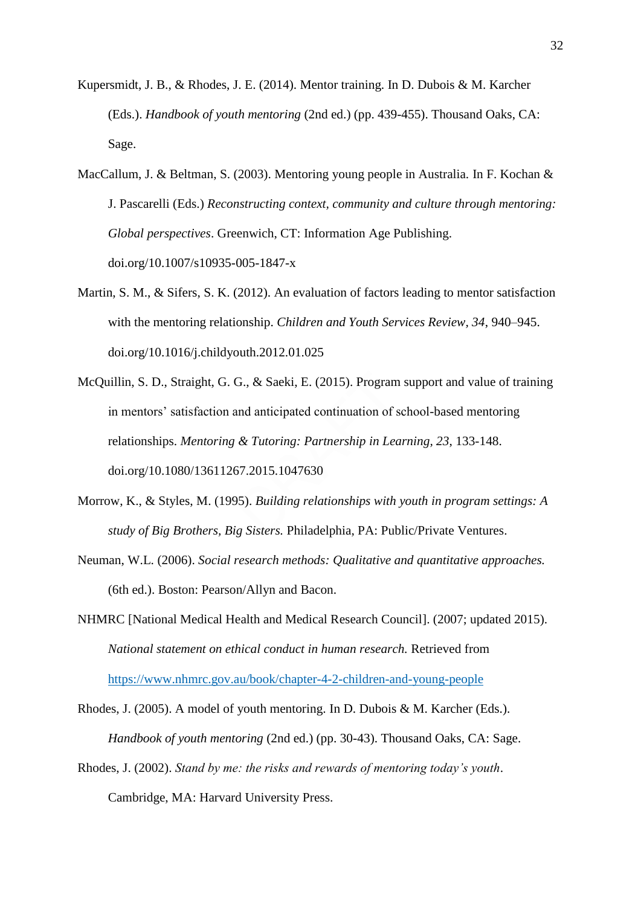- Kupersmidt, J. B., & Rhodes, J. E. (2014). Mentor training. In D. Dubois & M. Karcher (Eds.). *Handbook of youth mentoring* (2nd ed.) (pp. 439-455). Thousand Oaks, CA: Sage.
- MacCallum, J. & Beltman, S. (2003). Mentoring young people in Australia. In F. Kochan & J. Pascarelli (Eds.) *Reconstructing context, community and culture through mentoring: Global perspectives*. Greenwich, CT: Information Age Publishing. doi.org/10.1007/s10935-005-1847-x
- Martin, S. M., & Sifers, S. K. (2012). An evaluation of factors leading to mentor satisfaction with the mentoring relationship. *Children and Youth Services Review, 34*, 940–945. doi.org/10.1016/j.childyouth.2012.01.025
- McQuillin, S. D., Straight, G. G., & Saeki, E. (2015). Program support and value of training in mentors' satisfaction and anticipated continuation of school-based mentoring relationships. *Mentoring & Tutoring: Partnership in Learning, 23*, 133-148. doi.org/10.1080/13611267.2015.1047630
- Morrow, K., & Styles, M. (1995). *Building relationships with youth in program settings: A study of Big Brothers, Big Sisters.* Philadelphia, PA: Public/Private Ventures.
- Neuman, W.L. (2006). *Social research methods: Qualitative and quantitative approaches.* (6th ed.). Boston: Pearson/Allyn and Bacon.

NHMRC [National Medical Health and Medical Research Council]. (2007; updated 2015). *National statement on ethical conduct in human research.* Retrieved from <https://www.nhmrc.gov.au/book/chapter-4-2-children-and-young-people>

Rhodes, J. (2005). A model of youth mentoring. In D. Dubois & M. Karcher (Eds.). *Handbook of youth mentoring* (2nd ed.) (pp. 30-43). Thousand Oaks, CA: Sage.

Rhodes, J. (2002). *Stand by me: the risks and rewards of mentoring today's youth*. Cambridge, MA: Harvard University Press.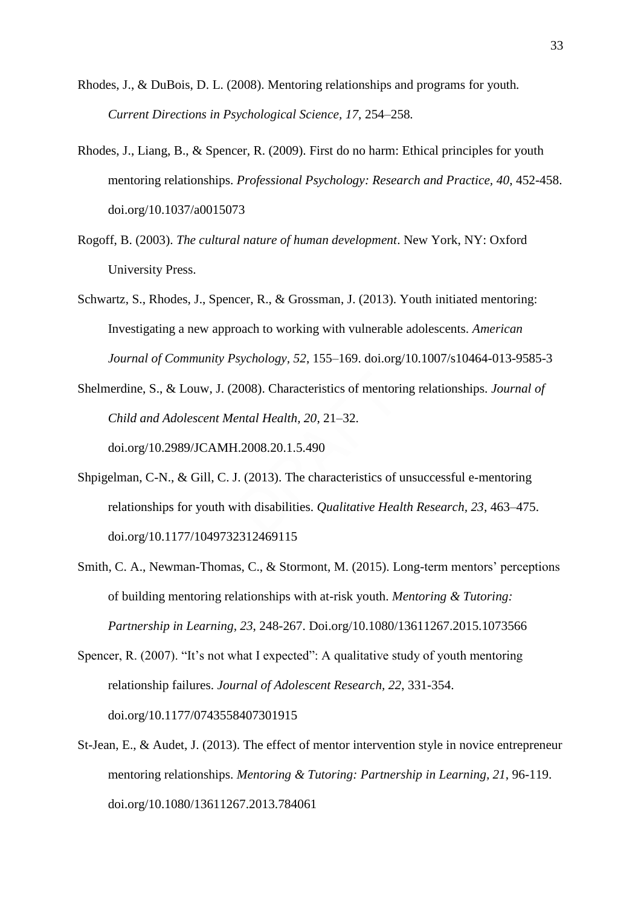- Rhodes, J., & DuBois, D. L. (2008). Mentoring relationships and programs for youth*. Current Directions in Psychological Science, 17*, 254*–*258*.*
- Rhodes, J., Liang, B., & Spencer, R. (2009). First do no harm: Ethical principles for youth mentoring relationships. *Professional Psychology: Research and Practice, 40*, 452-458. doi.org/10.1037/a0015073
- Rogoff, B. (2003). *The cultural nature of human development*. New York, NY: Oxford University Press.
- Schwartz, S., Rhodes, J., Spencer, R., & Grossman, J. (2013). Youth initiated mentoring: Investigating a new approach to working with vulnerable adolescents. *American Journal of Community Psychology, 52*, 155–169. doi.org/10.1007/s10464-013-9585-3
- Shelmerdine, S., & Louw, J. (2008). Characteristics of mentoring relationships. *Journal of Child and Adolescent Mental Health, 20*, 21–32. doi.org/10.2989/JCAMH.2008.20.1.5.490
- Shpigelman, C-N., & Gill, C. J. (2013). The characteristics of unsuccessful e-mentoring relationships for youth with disabilities. *Qualitative Health Research, 23*, 463–475. doi.org/10.1177/1049732312469115
- Smith, C. A., Newman-Thomas, C., & Stormont, M. (2015). Long-term mentors' perceptions of building mentoring relationships with at-risk youth. *Mentoring & Tutoring: Partnership in Learning, 23*, 248-267. Doi.org/10.1080/13611267.2015.1073566
- Spencer, R. (2007). "It's not what I expected": A qualitative study of youth mentoring relationship failures. *Journal of Adolescent Research, 22*, 331-354. doi.org/10.1177/0743558407301915
- St-Jean, E., & Audet, J. (2013). The effect of mentor intervention style in novice entrepreneur mentoring relationships. *Mentoring & Tutoring: Partnership in Learning, 21*, 96-119. doi.org/10.1080/13611267.2013.784061